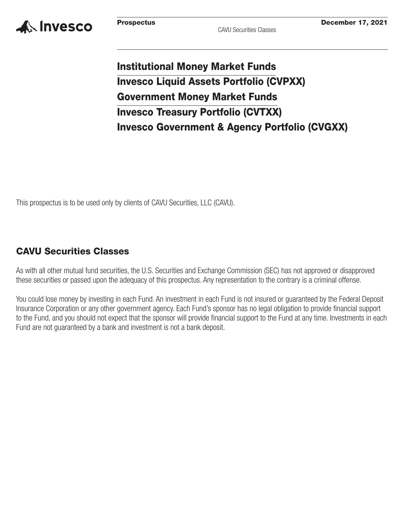

# **Institutional Money Market Funds Invesco Liquid Assets Portfolio (CVPXX) Government Money Market Funds Invesco Treasury Portfolio (CVTXX) Invesco Government & Agency Portfolio (CVGXX)**

This prospectus is to be used only by clients of CAVU Securities, LLC (CAVU).

## **CAVU Securities Classes**

As with all other mutual fund securities, the U.S. Securities and Exchange Commission (SEC) has not approved or disapproved these securities or passed upon the adequacy of this prospectus. Any representation to the contrary is a criminal offense.

You could lose money by investing in each Fund. An investment in each Fund is not insured or guaranteed by the Federal Deposit Insurance Corporation or any other government agency. Each Fund's sponsor has no legal obligation to provide financial support to the Fund, and you should not expect that the sponsor will provide financial support to the Fund at any time. Investments in each Fund are not guaranteed by a bank and investment is not a bank deposit.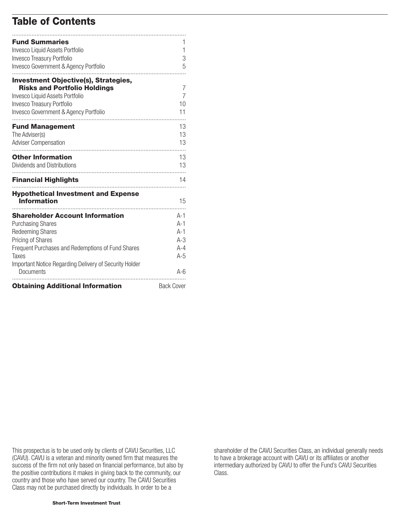# **Table of Contents**

| <b>Fund Summaries</b>                                               |                   |
|---------------------------------------------------------------------|-------------------|
| Invesco Liquid Assets Portfolio                                     | 1                 |
| Invesco Treasury Portfolio                                          | 3                 |
| Invesco Government & Agency Portfolio                               | 5                 |
| <b>Investment Objective(s), Strategies,</b>                         |                   |
| <b>Risks and Portfolio Holdings</b>                                 | 7                 |
| Invesco Liquid Assets Portfolio                                     | 7                 |
| Invesco Treasury Portfolio                                          | 10                |
| Invesco Government & Agency Portfolio                               | 11                |
| <b>Fund Management</b>                                              | 13                |
| The Adviser(s)                                                      | 13                |
| <b>Adviser Compensation</b>                                         | 13                |
| .<br><b>Other Information</b>                                       | 13                |
| Dividends and Distributions                                         | 13                |
| <b>Financial Highlights</b>                                         | 14                |
| <b>Hypothetical Investment and Expense</b>                          |                   |
| <b>Information</b>                                                  | 15                |
| <b>Shareholder Account Information</b>                              | A-1               |
| <b>Purchasing Shares</b>                                            | $A-1$             |
| <b>Redeeming Shares</b>                                             | $A-1$             |
| Pricing of Shares                                                   | $A-3$             |
| Frequent Purchases and Redemptions of Fund Shares                   | $A - 4$           |
| Taxes                                                               | $A-5$             |
| Important Notice Regarding Delivery of Security Holder<br>Documents | A-6               |
| <b>Obtaining Additional Information</b>                             | <b>Back Cover</b> |

This prospectus is to be used only by clients of CAVU Securities, LLC (CAVU). CAVU is a veteran and minority owned firm that measures the success of the firm not only based on financial performance, but also by the positive contributions it makes in giving back to the community, our country and those who have served our country. The CAVU Securities Class may not be purchased directly by individuals. In order to be a

shareholder of the CAVU Securities Class, an individual generally needs to have a brokerage account with CAVU or its affiliates or another intermediary authorized by CAVU to offer the Fund's CAVU Securities Class.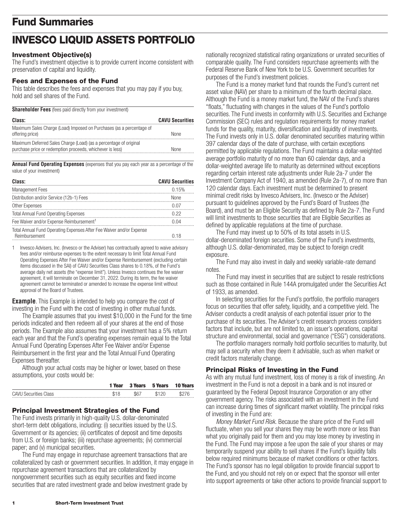# <span id="page-2-0"></span>**Fund Summaries**

# **INVESCO LIQUID ASSETS PORTFOLIO**

#### **Investment Objective(s)**

The Fund's investment objective is to provide current income consistent with preservation of capital and liquidity.

## **Fees and Expenses of the Fund**

This table describes the fees and expenses that you may pay if you buy, hold and sell shares of the Fund.

| <b>Shareholder Fees</b> (fees paid directly from your investment) |  |  |  |  |  |  |
|-------------------------------------------------------------------|--|--|--|--|--|--|
|-------------------------------------------------------------------|--|--|--|--|--|--|

| Class:                                                                                                                         | <b>CAVU Securities</b> |
|--------------------------------------------------------------------------------------------------------------------------------|------------------------|
| Maximum Sales Charge (Load) Imposed on Purchases (as a percentage of<br>offering price)                                        | <b>None</b>            |
| Maximum Deferred Sales Charge (Load) (as a percentage of original<br>purchase price or redemption proceeds, whichever is less) | None                   |

**Annual Fund Operating Expenses** (expenses that you pay each year as a percentage of the value of your investment)

| Class:                                                               | <b>CAVU Securities</b> |
|----------------------------------------------------------------------|------------------------|
| <b>Management Fees</b>                                               | 0.15%                  |
| Distribution and/or Service (12b-1) Fees                             | <b>None</b>            |
| Other Expenses                                                       | በ በ7                   |
| <b>Total Annual Fund Operating Expenses</b>                          | 0.22                   |
| Fee Waiver and/or Expense Reimbursement <sup>1</sup>                 | በ በ4                   |
| Total Annual Fund Operating Expenses After Fee Waiver and/or Expense |                        |
| Reimbursement                                                        | 0.18                   |

1 Invesco Advisers, Inc. (Invesco or the Adviser) has contractually agreed to waive advisory fees and/or reimburse expenses to the extent necessary to limit Total Annual Fund Operating Expenses After Fee Waiver and/or Expense Reimbursement (excluding certain items discussed in the SAI) of CAVU Securities Class shares to 0.18%, of the Fund's average daily net assets (the "expense limit"). Unless Invesco continues the fee waiver agreement, it will terminate on December 31, 2022. During its term, the fee waiver agreement cannot be terminated or amended to increase the expense limit without approval of the Board of Trustees.

**Example**. This Example is intended to help you compare the cost of investing in the Fund with the cost of investing in other mutual funds.

The Example assumes that you invest \$10,000 in the Fund for the time periods indicated and then redeem all of your shares at the end of those periods. The Example also assumes that your investment has a 5% return each year and that the Fund's operating expenses remain equal to the Total Annual Fund Operating Expenses After Fee Waiver and/or Expense Reimbursement in the first year and the Total Annual Fund Operating Expenses thereafter.

Although your actual costs may be higher or lower, based on these assumptions, your costs would be:

|                              | 1 Year | <b>3 Years</b> | 5 Years | <b>10 Years</b> |
|------------------------------|--------|----------------|---------|-----------------|
| <b>CAVU Securities Class</b> |        | \$67           | \$120   |                 |

### **Principal Investment Strategies of the Fund**

The Fund invests primarily in high-quality U.S. dollar-denominated short-term debt obligations, including: (i) securities issued by the U.S. Government or its agencies; (ii) certificates of deposit and time deposits from U.S. or foreign banks; (iii) repurchase agreements; (iv) commercial paper; and (v) municipal securities.

The Fund may engage in repurchase agreement transactions that are collateralized by cash or government securities. In addition, it may engage in repurchase agreement transactions that are collateralized by nongovernment securities such as equity securities and fixed income securities that are rated investment grade and below investment grade by

nationally recognized statistical rating organizations or unrated securities of comparable quality. The Fund considers repurchase agreements with the Federal Reserve Bank of New York to be U.S. Government securities for purposes of the Fund's investment policies.

The Fund is a money market fund that rounds the Fund's current net asset value (NAV) per share to a minimum of the fourth decimal place. Although the Fund is a money market fund, the NAV of the Fund's shares "floats," fluctuating with changes in the values of the Fund's portfolio securities. The Fund invests in conformity with U.S. Securities and Exchange Commission (SEC) rules and regulation requirements for money market funds for the quality, maturity, diversification and liquidity of investments. The Fund invests only in U.S. dollar denominated securities maturing within 397 calendar days of the date of purchase, with certain exceptions permitted by applicable regulations. The Fund maintains a dollar-weighted average portfolio maturity of no more than 60 calendar days, and a dollar-weighted average life to maturity as determined without exceptions regarding certain interest rate adjustments under Rule 2a-7 under the Investment Company Act of 1940, as amended (Rule 2a-7), of no more than 120 calendar days. Each investment must be determined to present minimal credit risks by Invesco Advisers, Inc. (Invesco or the Adviser) pursuant to guidelines approved by the Fund's Board of Trustees (the Board), and must be an Eligible Security as defined by Rule 2a-7. The Fund will limit investments to those securities that are Eligible Securities as defined by applicable regulations at the time of purchase.

The Fund may invest up to 50% of its total assets in U.S. dollar-denominated foreign securities. Some of the Fund's investments, although U.S. dollar-denominated, may be subject to foreign credit exposure.

The Fund may also invest in daily and weekly variable-rate demand notes.

The Fund may invest in securities that are subject to resale restrictions such as those contained in Rule 144A promulgated under the Securities Act of 1933, as amended.

In selecting securities for the Fund's portfolio, the portfolio managers focus on securities that offer safety, liquidity, and a competitive yield. The Adviser conducts a credit analysis of each potential issuer prior to the purchase of its securities. The Adviser's credit research process considers factors that include, but are not limited to, an issuer's operations, capital structure and environmental, social and governance ("ESG") considerations.

The portfolio managers normally hold portfolio securities to maturity, but may sell a security when they deem it advisable, such as when market or credit factors materially change.

### **Principal Risks of Investing in the Fund**

As with any mutual fund investment, loss of money is a risk of investing. An investment in the Fund is not a deposit in a bank and is not insured or guaranteed by the Federal Deposit Insurance Corporation or any other government agency. The risks associated with an investment in the Fund can increase during times of significant market volatility. The principal risks of investing in the Fund are:

*Money Market Fund Risk.* Because the share price of the Fund will fluctuate, when you sell your shares they may be worth more or less than what you originally paid for them and you may lose money by investing in the Fund. The Fund may impose a fee upon the sale of your shares or may temporarily suspend your ability to sell shares if the Fund's liquidity falls below required minimums because of market conditions or other factors. The Fund's sponsor has no legal obligation to provide financial support to the Fund, and you should not rely on or expect that the sponsor will enter into support agreements or take other actions to provide financial support to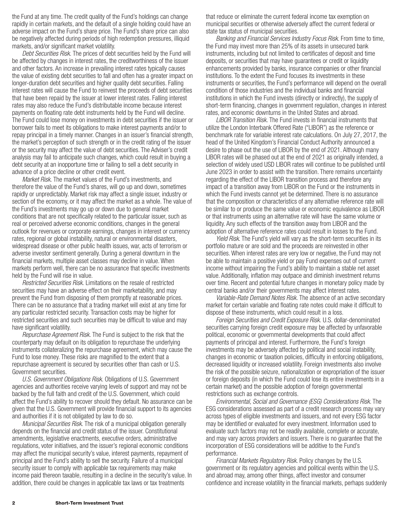the Fund at any time. The credit quality of the Fund's holdings can change rapidly in certain markets, and the default of a single holding could have an adverse impact on the Fund's share price. The Fund's share price can also be negatively affected during periods of high redemption pressures, illiquid markets, and/or significant market volatility.

*Debt Securities Risk.* The prices of debt securities held by the Fund will be affected by changes in interest rates, the creditworthiness of the issuer and other factors. An increase in prevailing interest rates typically causes the value of existing debt securities to fall and often has a greater impact on longer-duration debt securities and higher quality debt securities. Falling interest rates will cause the Fund to reinvest the proceeds of debt securities that have been repaid by the issuer at lower interest rates. Falling interest rates may also reduce the Fund's distributable income because interest payments on floating rate debt instruments held by the Fund will decline. The Fund could lose money on investments in debt securities if the issuer or borrower fails to meet its obligations to make interest payments and/or to repay principal in a timely manner. Changes in an issuer's financial strength, the market's perception of such strength or in the credit rating of the issuer or the security may affect the value of debt securities. The Adviser's credit analysis may fail to anticipate such changes, which could result in buying a debt security at an inopportune time or failing to sell a debt security in advance of a price decline or other credit event.

*Market Risk.* The market values of the Fund's investments, and therefore the value of the Fund's shares, will go up and down, sometimes rapidly or unpredictably. Market risk may affect a single issuer, industry or section of the economy, or it may affect the market as a whole. The value of the Fund's investments may go up or down due to general market conditions that are not specifically related to the particular issuer, such as real or perceived adverse economic conditions, changes in the general outlook for revenues or corporate earnings, changes in interest or currency rates, regional or global instability, natural or environmental disasters, widespread disease or other public health issues, war, acts of terrorism or adverse investor sentiment generally. During a general downturn in the financial markets, multiple asset classes may decline in value. When markets perform well, there can be no assurance that specific investments held by the Fund will rise in value.

*Restricted Securities Risk.* Limitations on the resale of restricted securities may have an adverse effect on their marketability, and may prevent the Fund from disposing of them promptly at reasonable prices. There can be no assurance that a trading market will exist at any time for any particular restricted security. Transaction costs may be higher for restricted securities and such securities may be difficult to value and may have significant volatility.

*Repurchase Agreement Risk.* The Fund is subject to the risk that the counterparty may default on its obligation to repurchase the underlying instruments collateralizing the repurchase agreement, which may cause the Fund to lose money. These risks are magnified to the extent that a repurchase agreement is secured by securities other than cash or U.S. Government securities.

*U.S. Government Obligations Risk.* Obligations of U.S. Government agencies and authorities receive varying levels of support and may not be backed by the full faith and credit of the U.S. Government, which could affect the Fund's ability to recover should they default. No assurance can be given that the U.S. Government will provide financial support to its agencies and authorities if it is not obligated by law to do so.

*Municipal Securities Risk.* The risk of a municipal obligation generally depends on the financial and credit status of the issuer. Constitutional amendments, legislative enactments, executive orders, administrative regulations, voter initiatives, and the issuer's regional economic conditions may affect the municipal security's value, interest payments, repayment of principal and the Fund's ability to sell the security. Failure of a municipal security issuer to comply with applicable tax requirements may make income paid thereon taxable, resulting in a decline in the security's value. In addition, there could be changes in applicable tax laws or tax treatments

that reduce or eliminate the current federal income tax exemption on municipal securities or otherwise adversely affect the current federal or state tax status of municipal securities.

*Banking and Financial Services Industry Focus Risk.* From time to time, the Fund may invest more than 25% of its assets in unsecured bank instruments, including but not limited to certificates of deposit and time deposits, or securities that may have guarantees or credit or liquidity enhancements provided by banks, insurance companies or other financial institutions. To the extent the Fund focuses its investments in these instruments or securities, the Fund's performance will depend on the overall condition of those industries and the individual banks and financial institutions in which the Fund invests (directly or indirectly), the supply of short-term financing, changes in government regulation, changes in interest rates, and economic downturns in the United States and abroad.

*LIBOR Transition Risk.* The Fund invests in financial instruments that utilize the London Interbank Offered Rate ("LIBOR") as the reference or benchmark rate for variable interest rate calculations. On July 27, 2017, the head of the United Kingdom's Financial Conduct Authority announced a desire to phase out the use of LIBOR by the end of 2021. Although many LIBOR rates will be phased out at the end of 2021 as originally intended, a selection of widely used USD LIBOR rates will continue to be published until June 2023 in order to assist with the transition. There remains uncertainty regarding the effect of the LIBOR transition process and therefore any impact of a transition away from LIBOR on the Fund or the instruments in which the Fund invests cannot yet be determined. There is no assurance that the composition or characteristics of any alternative reference rate will be similar to or produce the same value or economic equivalence as LIBOR or that instruments using an alternative rate will have the same volume or liquidity. Any such effects of the transition away from LIBOR and the adoption of alternative reference rates could result in losses to the Fund.

*Yield Risk*. The Fund's yield will vary as the short-term securities in its portfolio mature or are sold and the proceeds are reinvested in other securities. When interest rates are very low or negative, the Fund may not be able to maintain a positive yield or pay Fund expenses out of current income without impairing the Fund's ability to maintain a stable net asset value. Additionally, inflation may outpace and diminish investment returns over time. Recent and potential future changes in monetary policy made by central banks and/or their governments may affect interest rates.

*Variable-Rate Demand Notes Risk.* The absence of an active secondary market for certain variable and floating rate notes could make it difficult to dispose of these instruments, which could result in a loss.

*Foreign Securities and Credit Exposure Risk.* U.S. dollar-denominated securities carrying foreign credit exposure may be affected by unfavorable political, economic or governmental developments that could affect payments of principal and interest. Furthermore, the Fund's foreign investments may be adversely affected by political and social instability, changes in economic or taxation policies, difficulty in enforcing obligations, decreased liquidity or increased volatility. Foreign investments also involve the risk of the possible seizure, nationalization or expropriation of the issuer or foreign deposits (in which the Fund could lose its entire investments in a certain market) and the possible adoption of foreign governmental restrictions such as exchange controls.

*Environmental, Social and Governance (ESG) Considerations Risk*. The ESG considerations assessed as part of a credit research process may vary across types of eligible investments and issuers, and not every ESG factor may be identified or evaluated for every investment. Information used to evaluate such factors may not be readily available, complete or accurate, and may vary across providers and issuers. There is no guarantee that the incorporation of ESG considerations will be additive to the Fund's performance.

*Financial Markets Regulatory Risk*. Policy changes by the U.S. government or its regulatory agencies and political events within the U.S. and abroad may, among other things, affect investor and consumer confidence and increase volatility in the financial markets, perhaps suddenly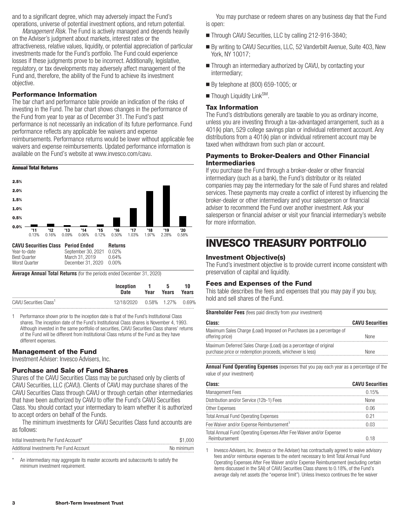<span id="page-4-0"></span>and to a significant degree, which may adversely impact the Fund's operations, universe of potential investment options, and return potential.

*Management Risk.* The Fund is actively managed and depends heavily on the Adviser's judgment about markets, interest rates or the attractiveness, relative values, liquidity, or potential appreciation of particular investments made for the Fund's portfolio. The Fund could experience losses if these judgments prove to be incorrect. Additionally, legislative, regulatory, or tax developments may adversely affect management of the Fund and, therefore, the ability of the Fund to achieve its investment objective.

## **Performance Information**

The bar chart and performance table provide an indication of the risks of investing in the Fund. The bar chart shows changes in the performance of the Fund from year to year as of December 31. The Fund's past performance is not necessarily an indication of its future performance. Fund performance reflects any applicable fee waivers and expense reimbursements. Performance returns would be lower without applicable fee waivers and expense reimbursements. Updated performance information is available on the Fund's website at www.invesco.com/cavu.

#### **Annual Total Returns**



**Average Annual Total Returns** (for the periods ended December 31, 2020)

|                                    | Inception<br>Date            | $\blacksquare$<br>Year | - 5<br>Years | 10<br>Years |
|------------------------------------|------------------------------|------------------------|--------------|-------------|
| CAVU Securities Class <sup>1</sup> | 12/18/2020 0.58% 1.27% 0.69% |                        |              |             |
|                                    |                              |                        |              |             |

1 Performance shown prior to the inception date is that of the Fund's Institutional Class shares. The inception date of the Fund's Institutional Class shares is November 4, 1993. Although invested in the same portfolio of securities, CAVU Securities Class shares' returns of the Fund will be different from Institutional Class returns of the Fund as they have different expenses.

### **Management of the Fund**

Investment Adviser: Invesco Advisers, Inc.

#### **Purchase and Sale of Fund Shares**

Shares of the CAVU Securities Class may be purchased only by clients of CAVU Securities, LLC (CAVU). Clients of CAVU may purchase shares of the CAVU Securities Class through CAVU or through certain other intermediaries that have been authorized by CAVU to offer the Fund's CAVU Securities Class. You should contact your intermediary to learn whether it is authorized to accept orders on behalf of the Funds.

The minimum investments for CAVU Securities Class fund accounts are as follows:

| Initial Investments Per Fund Account*   | \$1,000    |
|-----------------------------------------|------------|
| Additional Investments Per Fund Account | No minimum |

An intermediary may aggregate its master accounts and subaccounts to satisfy the minimum investment requirement.

You may purchase or redeem shares on any business day that the Fund is open:

- Through CAVU Securities, LLC by calling 212-916-3840;
- By writing to CAVU Securities, LLC, 52 Vanderbilt Avenue, Suite 403, New York, NY 10017;
- Through an intermediary authorized by CAVU, by contacting your intermediary;
- By telephone at (800) 659-1005; or
- Though Liquidity Link<sup>SM</sup>.

#### **Tax Information**

The Fund's distributions generally are taxable to you as ordinary income, unless you are investing through a tax-advantaged arrangement, such as a 401(k) plan, 529 college savings plan or individual retirement account. Any distributions from a 401(k) plan or individual retirement account may be taxed when withdrawn from such plan or account.

#### **Payments to Broker-Dealers and Other Financial Intermediaries**

If you purchase the Fund through a broker-dealer or other financial intermediary (such as a bank), the Fund's distributor or its related companies may pay the intermediary for the sale of Fund shares and related services. These payments may create a conflict of interest by influencing the broker-dealer or other intermediary and your salesperson or financial adviser to recommend the Fund over another investment. Ask your salesperson or financial adviser or visit your financial intermediary's website for more information.

## **INVESCO TREASURY PORTFOLIO**

### **Investment Objective(s)**

The Fund's investment objective is to provide current income consistent with preservation of capital and liquidity.

#### **Fees and Expenses of the Fund**

This table describes the fees and expenses that you may pay if you buy, hold and sell shares of the Fund.

**Shareholder Fees** (fees paid directly from your investment)

| Class:                                                                                  | <b>CAVU Securities</b> |
|-----------------------------------------------------------------------------------------|------------------------|
| Maximum Sales Charge (Load) Imposed on Purchases (as a percentage of<br>offerina price) | <b>None</b>            |
| Maximum Deferred Sales Charge (Load) (as a percentage of original                       |                        |
| purchase price or redemption proceeds, whichever is less)                               | None                   |

**Annual Fund Operating Expenses** (expenses that you pay each year as a percentage of the value of your investment)

| Class:                                                                                | <b>CAVU Securities</b> |
|---------------------------------------------------------------------------------------|------------------------|
| <b>Management Fees</b>                                                                | 0.15%                  |
| Distribution and/or Service (12b-1) Fees                                              | <b>None</b>            |
| Other Expenses                                                                        | 0.06                   |
| <b>Total Annual Fund Operating Expenses</b>                                           | 0.21                   |
| Fee Waiver and/or Expense Reimbursement <sup>1</sup>                                  | 0.03                   |
| Total Annual Fund Operating Expenses After Fee Waiver and/or Expense<br>Reimbursement | 0.18                   |

1 Invesco Advisers, Inc. (Invesco or the Adviser) has contractually agreed to waive advisory fees and/or reimburse expenses to the extent necessary to limit Total Annual Fund Operating Expenses After Fee Waiver and/or Expense Reimbursement (excluding certain items discussed in the SAI) of CAVU Securities Class shares to 0.18%, of the Fund's average daily net assets (the "expense limit"). Unless Invesco continues the fee waiver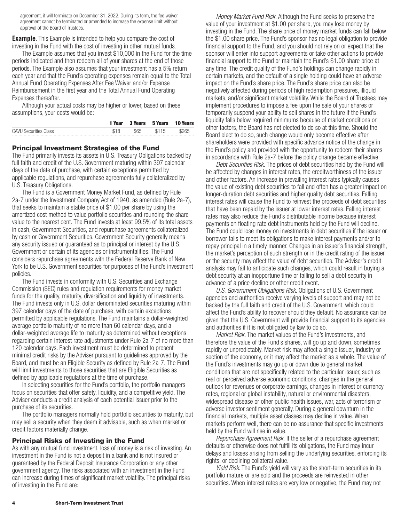agreement, it will terminate on December 31, 2022. During its term, the fee waiver agreement cannot be terminated or amended to increase the expense limit without approval of the Board of Trustees.

**Example**. This Example is intended to help you compare the cost of investing in the Fund with the cost of investing in other mutual funds.

The Example assumes that you invest \$10,000 in the Fund for the time periods indicated and then redeem all of your shares at the end of those periods. The Example also assumes that your investment has a 5% return each year and that the Fund's operating expenses remain equal to the Total Annual Fund Operating Expenses After Fee Waiver and/or Expense Reimbursement in the first year and the Total Annual Fund Operating Expenses thereafter.

Although your actual costs may be higher or lower, based on these assumptions, your costs would be:

|                              | 1 Year | <b>3 Years</b> | 5 Years | <b>10 Years</b> |
|------------------------------|--------|----------------|---------|-----------------|
| <b>CAVU Securities Class</b> |        | \$65           | \$115   | \$265           |

## **Principal Investment Strategies of the Fund**

The Fund primarily invests its assets in U.S. Treasury Obligations backed by full faith and credit of the U.S. Government maturing within 397 calendar days of the date of purchase, with certain exceptions permitted by applicable regulations, and repurchase agreements fully collateralized by U.S. Treasury Obligations.

The Fund is a Government Money Market Fund, as defined by Rule 2a-7 under the Investment Company Act of 1940, as amended (Rule 2a-7), that seeks to maintain a stable price of \$1.00 per share by using the amortized cost method to value portfolio securities and rounding the share value to the nearest cent. The Fund invests at least 99.5% of its total assets in cash, Government Securities, and repurchase agreements collateralized by cash or Government Securities. Government Security generally means any security issued or guaranteed as to principal or interest by the U.S. Government or certain of its agencies or instrumentalities. The Fund considers repurchase agreements with the Federal Reserve Bank of New York to be U.S. Government securities for purposes of the Fund's investment policies.

The Fund invests in conformity with U.S. Securities and Exchange Commission (SEC) rules and regulation requirements for money market funds for the quality, maturity, diversification and liquidity of investments. The Fund invests only in U.S. dollar denominated securities maturing within 397 calendar days of the date of purchase, with certain exceptions permitted by applicable regulations. The Fund maintains a dollar-weighted average portfolio maturity of no more than 60 calendar days, and a dollar-weighted average life to maturity as determined without exceptions regarding certain interest rate adjustments under Rule 2a-7 of no more than 120 calendar days. Each investment must be determined to present minimal credit risks by the Adviser pursuant to guidelines approved by the Board, and must be an Eligible Security as defined by Rule 2a-7. The Fund will limit investments to those securities that are Eligible Securities as defined by applicable regulations at the time of purchase.

In selecting securities for the Fund's portfolio, the portfolio managers focus on securities that offer safety, liquidity, and a competitive yield. The Adviser conducts a credit analysis of each potential issuer prior to the purchase of its securities.

The portfolio managers normally hold portfolio securities to maturity, but may sell a security when they deem it advisable, such as when market or credit factors materially change.

## **Principal Risks of Investing in the Fund**

As with any mutual fund investment, loss of money is a risk of investing. An investment in the Fund is not a deposit in a bank and is not insured or guaranteed by the Federal Deposit Insurance Corporation or any other government agency. The risks associated with an investment in the Fund can increase during times of significant market volatility. The principal risks of investing in the Fund are:

*Money Market Fund Risk.* Although the Fund seeks to preserve the value of your investment at \$1.00 per share, you may lose money by investing in the Fund. The share price of money market funds can fall below the \$1.00 share price. The Fund's sponsor has no legal obligation to provide financial support to the Fund, and you should not rely on or expect that the sponsor will enter into support agreements or take other actions to provide financial support to the Fund or maintain the Fund's \$1.00 share price at any time. The credit quality of the Fund's holdings can change rapidly in certain markets, and the default of a single holding could have an adverse impact on the Fund's share price. The Fund's share price can also be negatively affected during periods of high redemption pressures, illiquid markets, and/or significant market volatility. While the Board of Trustees may implement procedures to impose a fee upon the sale of your shares or temporarily suspend your ability to sell shares in the future if the Fund's liquidity falls below required minimums because of market conditions or other factors, the Board has not elected to do so at this time. Should the Board elect to do so, such change would only become effective after shareholders were provided with specific advance notice of the change in the Fund's policy and provided with the opportunity to redeem their shares in accordance with Rule 2a-7 before the policy change became effective.

*Debt Securities Risk.* The prices of debt securities held by the Fund will be affected by changes in interest rates, the creditworthiness of the issuer and other factors. An increase in prevailing interest rates typically causes the value of existing debt securities to fall and often has a greater impact on longer-duration debt securities and higher quality debt securities. Falling interest rates will cause the Fund to reinvest the proceeds of debt securities that have been repaid by the issuer at lower interest rates. Falling interest rates may also reduce the Fund's distributable income because interest payments on floating rate debt instruments held by the Fund will decline. The Fund could lose money on investments in debt securities if the issuer or borrower fails to meet its obligations to make interest payments and/or to repay principal in a timely manner. Changes in an issuer's financial strength, the market's perception of such strength or in the credit rating of the issuer or the security may affect the value of debt securities. The Adviser's credit analysis may fail to anticipate such changes, which could result in buying a debt security at an inopportune time or failing to sell a debt security in advance of a price decline or other credit event.

*U.S. Government Obligations Risk.* Obligations of U.S. Government agencies and authorities receive varying levels of support and may not be backed by the full faith and credit of the U.S. Government, which could affect the Fund's ability to recover should they default. No assurance can be given that the U.S. Government will provide financial support to its agencies and authorities if it is not obligated by law to do so.

*Market Risk.* The market values of the Fund's investments, and therefore the value of the Fund's shares, will go up and down, sometimes rapidly or unpredictably. Market risk may affect a single issuer, industry or section of the economy, or it may affect the market as a whole. The value of the Fund's investments may go up or down due to general market conditions that are not specifically related to the particular issuer, such as real or perceived adverse economic conditions, changes in the general outlook for revenues or corporate earnings, changes in interest or currency rates, regional or global instability, natural or environmental disasters, widespread disease or other public health issues, war, acts of terrorism or adverse investor sentiment generally. During a general downturn in the financial markets, multiple asset classes may decline in value. When markets perform well, there can be no assurance that specific investments held by the Fund will rise in value.

*Repurchase Agreement Risk.* If the seller of a repurchase agreement defaults or otherwise does not fulfill its obligations, the Fund may incur delays and losses arising from selling the underlying securities, enforcing its rights, or declining collateral value.

*Yield Risk*. The Fund's yield will vary as the short-term securities in its portfolio mature or are sold and the proceeds are reinvested in other securities. When interest rates are very low or negative, the Fund may not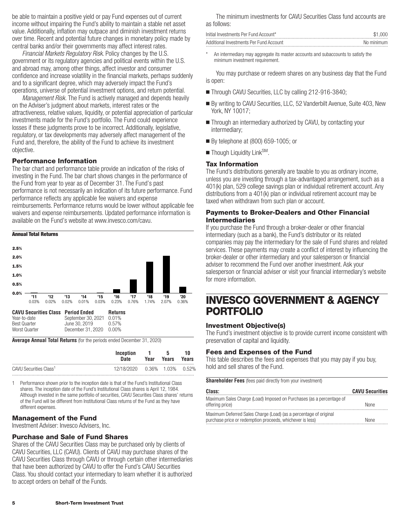<span id="page-6-0"></span>be able to maintain a positive yield or pay Fund expenses out of current income without impairing the Fund's ability to maintain a stable net asset value. Additionally, inflation may outpace and diminish investment returns over time. Recent and potential future changes in monetary policy made by central banks and/or their governments may affect interest rates.

*Financial Markets Regulatory Risk*. Policy changes by the U.S. government or its regulatory agencies and political events within the U.S. and abroad may, among other things, affect investor and consumer confidence and increase volatility in the financial markets, perhaps suddenly and to a significant degree, which may adversely impact the Fund's operations, universe of potential investment options, and return potential.

*Management Risk.* The Fund is actively managed and depends heavily on the Adviser's judgment about markets, interest rates or the attractiveness, relative values, liquidity, or potential appreciation of particular investments made for the Fund's portfolio. The Fund could experience losses if these judgments prove to be incorrect. Additionally, legislative, regulatory, or tax developments may adversely affect management of the Fund and, therefore, the ability of the Fund to achieve its investment objective.

## **Performance Information**

The bar chart and performance table provide an indication of the risks of investing in the Fund. The bar chart shows changes in the performance of the Fund from year to year as of December 31. The Fund's past performance is not necessarily an indication of its future performance. Fund performance reflects any applicable fee waivers and expense reimbursements. Performance returns would be lower without applicable fee waivers and expense reimbursements. Updated performance information is available on the Fund's website at www.invesco.com/cavu.



**Average Annual Total Returns** (for the periods ended December 31, 2020)

|                                    | Inception                    | $\blacksquare$ | - 5   | 10    |
|------------------------------------|------------------------------|----------------|-------|-------|
|                                    | Date                         | Year           | Years | Years |
| CAVU Securities Class <sup>1</sup> | 12/18/2020 0.36% 1.03% 0.52% |                |       |       |

1 Performance shown prior to the inception date is that of the Fund's Institutional Class shares. The inception date of the Fund's Institutional Class shares is April 12, 1984. Although invested in the same portfolio of securities, CAVU Securities Class shares' returns of the Fund will be different from Institutional Class returns of the Fund as they have different expenses.

## **Management of the Fund**

Investment Adviser: Invesco Advisers, Inc.

### **Purchase and Sale of Fund Shares**

Shares of the CAVU Securities Class may be purchased only by clients of CAVU Securities, LLC (CAVU). Clients of CAVU may purchase shares of the CAVU Securities Class through CAVU or through certain other intermediaries that have been authorized by CAVU to offer the Fund's CAVU Securities Class. You should contact your intermediary to learn whether it is authorized to accept orders on behalf of the Funds.

The minimum investments for CAVU Securities Class fund accounts are as follows:

| Initial Investments Per Fund Account*   | \$1.000    |
|-----------------------------------------|------------|
| Additional Investments Per Fund Account | No minimum |

An intermediary may aggregate its master accounts and subaccounts to satisfy the minimum investment requirement.

You may purchase or redeem shares on any business day that the Fund is open:

- Through CAVU Securities, LLC by calling 212-916-3840;
- By writing to CAVU Securities, LLC, 52 Vanderbilt Avenue, Suite 403, New York, NY 10017;
- Through an intermediary authorized by CAVU, by contacting your intermediary;
- By telephone at (800) 659-1005; or
- Though Liquidity Link<sup>SM</sup>.

### **Tax Information**

The Fund's distributions generally are taxable to you as ordinary income, unless you are investing through a tax-advantaged arrangement, such as a 401(k) plan, 529 college savings plan or individual retirement account. Any distributions from a 401(k) plan or individual retirement account may be taxed when withdrawn from such plan or account.

## **Payments to Broker-Dealers and Other Financial Intermediaries**

If you purchase the Fund through a broker-dealer or other financial intermediary (such as a bank), the Fund's distributor or its related companies may pay the intermediary for the sale of Fund shares and related services. These payments may create a conflict of interest by influencing the broker-dealer or other intermediary and your salesperson or financial adviser to recommend the Fund over another investment. Ask your salesperson or financial adviser or visit your financial intermediary's website for more information.

## **INVESCO GOVERNMENT & AGENCY PORTFOLIO**

### **Investment Objective(s)**

The Fund's investment objective is to provide current income consistent with preservation of capital and liquidity.

## **Fees and Expenses of the Fund**

This table describes the fees and expenses that you may pay if you buy, hold and sell shares of the Fund.

**Shareholder Fees** (fees paid directly from your investment)

| Class:                                                                                                                         | <b>CAVU Securities</b> |
|--------------------------------------------------------------------------------------------------------------------------------|------------------------|
| Maximum Sales Charge (Load) Imposed on Purchases (as a percentage of<br>offering price)                                        | <b>None</b>            |
| Maximum Deferred Sales Charge (Load) (as a percentage of original<br>purchase price or redemption proceeds, whichever is less) | <b>None</b>            |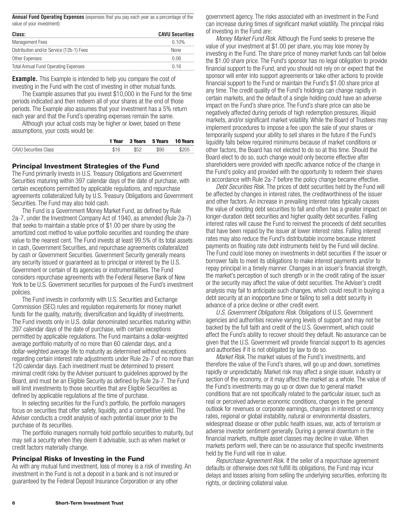**Annual Fund Operating Expenses** (expenses that you pay each year as a percentage of the value of your investment)

| Class:                                      | <b>CAVU Securities</b> |
|---------------------------------------------|------------------------|
| Management Fees                             | 0.10%                  |
| Distribution and/or Service (12b-1) Fees    | <b>None</b>            |
| Other Expenses                              | 0.06                   |
| <b>Total Annual Fund Operating Expenses</b> | 0.16                   |
|                                             |                        |

**Example.** This Example is intended to help you compare the cost of investing in the Fund with the cost of investing in other mutual funds.

The Example assumes that you invest \$10,000 in the Fund for the time periods indicated and then redeem all of your shares at the end of those periods. The Example also assumes that your investment has a 5% return each year and that the Fund's operating expenses remain the same.

Although your actual costs may be higher or lower, based on these assumptions, your costs would be:

|                              | 1 Year |     | 3 Years 5 Years | <b>10 Years</b> |
|------------------------------|--------|-----|-----------------|-----------------|
| <b>CAVU Securities Class</b> | \$16   | よらつ | \$90            | \$205           |

#### **Principal Investment Strategies of the Fund**

The Fund primarily invests in U.S. Treasury Obligations and Government Securities maturing within 397 calendar days of the date of purchase, with certain exceptions permitted by applicable regulations, and repurchase agreements collateralized fully by U.S. Treasury Obligations and Government Securities. The Fund may also hold cash.

The Fund is a Government Money Market Fund, as defined by Rule 2a-7, under the Investment Company Act of 1940, as amended (Rule 2a-7) that seeks to maintain a stable price of \$1.00 per share by using the amortized cost method to value portfolio securities and rounding the share value to the nearest cent. The Fund invests at least 99.5% of its total assets in cash, Government Securities, and repurchase agreements collateralized by cash or Government Securities. Government Security generally means any security issued or guaranteed as to principal or interest by the U.S. Government or certain of its agencies or instrumentalities. The Fund considers repurchase agreements with the Federal Reserve Bank of New York to be U.S. Government securities for purposes of the Fund's investment policies.

The Fund invests in conformity with U.S. Securities and Exchange Commission (SEC) rules and regulation requirements for money market funds for the quality, maturity, diversification and liquidity of investments. The Fund invests only in U.S. dollar denominated securities maturing within 397 calendar days of the date of purchase, with certain exceptions permitted by applicable regulations. The Fund maintains a dollar-weighted average portfolio maturity of no more than 60 calendar days, and a dollar-weighted average life to maturity as determined without exceptions regarding certain interest rate adjustments under Rule 2a-7 of no more than 120 calendar days. Each investment must be determined to present minimal credit risks by the Adviser pursuant to guidelines approved by the Board, and must be an Eligible Security as defined by Rule 2a-7. The Fund will limit investments to those securities that are Eligible Securities as defined by applicable regulations at the time of purchase.

In selecting securities for the Fund's portfolio, the portfolio managers focus on securities that offer safety, liquidity, and a competitive yield. The Adviser conducts a credit analysis of each potential issuer prior to the purchase of its securities.

The portfolio managers normally hold portfolio securities to maturity, but may sell a security when they deem it advisable, such as when market or credit factors materially change.

#### **Principal Risks of Investing in the Fund**

As with any mutual fund investment, loss of money is a risk of investing. An investment in the Fund is not a deposit in a bank and is not insured or guaranteed by the Federal Deposit Insurance Corporation or any other

government agency. The risks associated with an investment in the Fund can increase during times of significant market volatility. The principal risks of investing in the Fund are:

*Money Market Fund Risk.* Although the Fund seeks to preserve the value of your investment at \$1.00 per share, you may lose money by investing in the Fund. The share price of money market funds can fall below the \$1.00 share price. The Fund's sponsor has no legal obligation to provide financial support to the Fund, and you should not rely on or expect that the sponsor will enter into support agreements or take other actions to provide financial support to the Fund or maintain the Fund's \$1.00 share price at any time. The credit quality of the Fund's holdings can change rapidly in certain markets, and the default of a single holding could have an adverse impact on the Fund's share price. The Fund's share price can also be negatively affected during periods of high redemption pressures, illiquid markets, and/or significant market volatility. While the Board of Trustees may implement procedures to impose a fee upon the sale of your shares or temporarily suspend your ability to sell shares in the future if the Fund's liquidity falls below required minimums because of market conditions or other factors, the Board has not elected to do so at this time. Should the Board elect to do so, such change would only become effective after shareholders were provided with specific advance notice of the change in the Fund's policy and provided with the opportunity to redeem their shares in accordance with Rule 2a-7 before the policy change became effective.

*Debt Securities Risk.* The prices of debt securities held by the Fund will be affected by changes in interest rates, the creditworthiness of the issuer and other factors. An increase in prevailing interest rates typically causes the value of existing debt securities to fall and often has a greater impact on longer-duration debt securities and higher quality debt securities. Falling interest rates will cause the Fund to reinvest the proceeds of debt securities that have been repaid by the issuer at lower interest rates. Falling interest rates may also reduce the Fund's distributable income because interest payments on floating rate debt instruments held by the Fund will decline. The Fund could lose money on investments in debt securities if the issuer or borrower fails to meet its obligations to make interest payments and/or to repay principal in a timely manner. Changes in an issuer's financial strength, the market's perception of such strength or in the credit rating of the issuer or the security may affect the value of debt securities. The Adviser's credit analysis may fail to anticipate such changes, which could result in buying a debt security at an inopportune time or failing to sell a debt security in advance of a price decline or other credit event.

*U.S. Government Obligations Risk.* Obligations of U.S. Government agencies and authorities receive varying levels of support and may not be backed by the full faith and credit of the U.S. Government, which could affect the Fund's ability to recover should they default. No assurance can be given that the U.S. Government will provide financial support to its agencies and authorities if it is not obligated by law to do so.

*Market Risk.* The market values of the Fund's investments, and therefore the value of the Fund's shares, will go up and down, sometimes rapidly or unpredictably. Market risk may affect a single issuer, industry or section of the economy, or it may affect the market as a whole. The value of the Fund's investments may go up or down due to general market conditions that are not specifically related to the particular issuer, such as real or perceived adverse economic conditions, changes in the general outlook for revenues or corporate earnings, changes in interest or currency rates, regional or global instability, natural or environmental disasters, widespread disease or other public health issues, war, acts of terrorism or adverse investor sentiment generally. During a general downturn in the financial markets, multiple asset classes may decline in value. When markets perform well, there can be no assurance that specific investments held by the Fund will rise in value.

*Repurchase Agreement Risk.* If the seller of a repurchase agreement defaults or otherwise does not fulfill its obligations, the Fund may incur delays and losses arising from selling the underlying securities, enforcing its rights, or declining collateral value.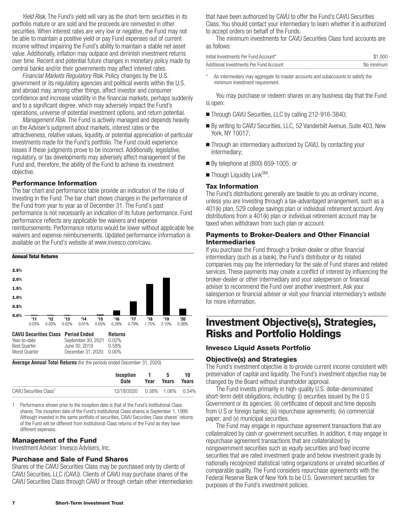<span id="page-8-0"></span>*Yield Risk*. The Fund's yield will vary as the short-term securities in its portfolio mature or are sold and the proceeds are reinvested in other securities. When interest rates are very low or negative, the Fund may not be able to maintain a positive yield or pay Fund expenses out of current income without impairing the Fund's ability to maintain a stable net asset value. Additionally, inflation may outpace and diminish investment returns over time. Recent and potential future changes in monetary policy made by central banks and/or their governments may affect interest rates.

*Financial Markets Regulatory Risk*. Policy changes by the U.S. government or its regulatory agencies and political events within the U.S. and abroad may, among other things, affect investor and consumer confidence and increase volatility in the financial markets, perhaps suddenly and to a significant degree, which may adversely impact the Fund's operations, universe of potential investment options, and return potential.

*Management Risk.* The Fund is actively managed and depends heavily on the Adviser's judgment about markets, interest rates or the attractiveness, relative values, liquidity, or potential appreciation of particular investments made for the Fund's portfolio. The Fund could experience losses if these judgments prove to be incorrect. Additionally, legislative, regulatory, or tax developments may adversely affect management of the Fund and, therefore, the ability of the Fund to achieve its investment objective.

### **Performance Information**

The bar chart and performance table provide an indication of the risks of investing in the Fund. The bar chart shows changes in the performance of the Fund from year to year as of December 31. The Fund's past performance is not necessarily an indication of its future performance. Fund performance reflects any applicable fee waivers and expense reimbursements. Performance returns would be lower without applicable fee waivers and expense reimbursements. Updated performance information is available on the Fund's website at www.invesco.com/cavu.



**Average Annual Total Returns** (for the periods ended December 31, 2020)

|                                    | Inception                       | - 1  | -5    | 10    |
|------------------------------------|---------------------------------|------|-------|-------|
|                                    | Date                            | Year | Years | Years |
| CAVU Securities Class <sup>1</sup> | 12/18/2020  0.38%  1.06%  0.54% |      |       |       |

1 Performance shown prior to the inception date is that of the Fund's Institutional Class shares. The inception date of the Fund's Institutional Class shares is September 1, 1998. Although invested in the same portfolio of securities, CAVU Securities Class shares' returns of the Fund will be different from Institutional Class returns of the Fund as they have different expenses.

### **Management of the Fund**

Investment Adviser: Invesco Advisers, Inc.

### **Purchase and Sale of Fund Shares**

Shares of the CAVU Securities Class may be purchased only by clients of CAVU Securities, LLC (CAVU). Clients of CAVU may purchase shares of the CAVU Securities Class through CAVU or through certain other intermediaries that have been authorized by CAVU to offer the Fund's CAVU Securities Class. You should contact your intermediary to learn whether it is authorized to accept orders on behalf of the Funds.

The minimum investments for CAVU Securities Class fund accounts are as follows:

| Initial Investments Per Fund Account*   | \$1.000    |
|-----------------------------------------|------------|
| Additional Investments Per Fund Account | No minimum |

An intermediary may aggregate its master accounts and subaccounts to satisfy the minimum investment requirement.

You may purchase or redeem shares on any business day that the Fund is open:

- Through CAVU Securities, LLC by calling 212-916-3840;
- By writing to CAVU Securities, LLC, 52 Vanderbilt Avenue, Suite 403, New York, NY 10017;
- Through an intermediary authorized by CAVU, by contacting your intermediary;
- By telephone at (800) 659-1005; or
- Though Liquidity Link<sup>SM</sup>.

## **Tax Information**

The Fund's distributions generally are taxable to you as ordinary income, unless you are investing through a tax-advantaged arrangement, such as a 401(k) plan, 529 college savings plan or individual retirement account. Any distributions from a 401(k) plan or individual retirement account may be taxed when withdrawn from such plan or account.

### **Payments to Broker-Dealers and Other Financial Intermediaries**

If you purchase the Fund through a broker-dealer or other financial intermediary (such as a bank), the Fund's distributor or its related companies may pay the intermediary for the sale of Fund shares and related services. These payments may create a conflict of interest by influencing the broker-dealer or other intermediary and your salesperson or financial adviser to recommend the Fund over another investment. Ask your salesperson or financial adviser or visit your financial intermediary's website for more information.

## **Investment Objective(s), Strategies, Risks and Portfolio Holdings**

### **Invesco Liquid Assets Portfolio**

### **Objective(s) and Strategies**

The Fund's investment objective is to provide current income consistent with preservation of capital and liquidity. The Fund's investment objective may be changed by the Board without shareholder approval.

The Fund invests primarily in high-quality U.S. dollar-denominated short-term debt obligations, including: (i) securities issued by the U S Government or its agencies; (ii) certificates of deposit and time deposits from U S or foreign banks; (iii) repurchase agreements; (iv) commercial paper; and (v) municipal securities.

The Fund may engage in repurchase agreement transactions that are collateralized by cash or government securities. In addition, it may engage in repurchase agreement transactions that are collateralized by nongovernment securities such as equity securities and fixed income securities that are rated investment grade and below investment grade by nationally recognized statistical rating organizations or unrated securities of comparable quality. The Fund considers repurchase agreements with the Federal Reserve Bank of New York to be U.S. Government securities for purposes of the Fund's investment policies.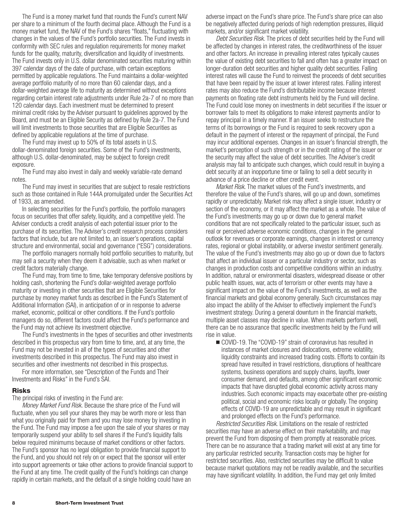The Fund is a money market fund that rounds the Fund's current NAV per share to a minimum of the fourth decimal place. Although the Fund is a money market fund, the NAV of the Fund's shares "floats," fluctuating with changes in the values of the Fund's portfolio securities. The Fund invests in conformity with SEC rules and regulation requirements for money market funds for the quality, maturity, diversification and liquidity of investments. The Fund invests only in U.S. dollar denominated securities maturing within 397 calendar days of the date of purchase, with certain exceptions permitted by applicable regulations. The Fund maintains a dollar-weighted average portfolio maturity of no more than 60 calendar days, and a dollar-weighted average life to maturity as determined without exceptions regarding certain interest rate adjustments under Rule 2a-7 of no more than 120 calendar days. Each investment must be determined to present minimal credit risks by the Adviser pursuant to guidelines approved by the Board, and must be an Eligible Security as defined by Rule 2a-7. The Fund will limit investments to those securities that are Eligible Securities as defined by applicable regulations at the time of purchase.

The Fund may invest up to 50% of its total assets in U.S. dollar-denominated foreign securities. Some of the Fund's investments, although U.S. dollar-denominated, may be subject to foreign credit exposure.

The Fund may also invest in daily and weekly variable-rate demand notes.

The Fund may invest in securities that are subject to resale restrictions such as those contained in Rule 144A promulgated under the Securities Act of 1933, as amended.

In selecting securities for the Fund's portfolio, the portfolio managers focus on securities that offer safety, liquidity, and a competitive yield. The Adviser conducts a credit analysis of each potential issuer prior to the purchase of its securities. The Adviser's credit research process considers factors that include, but are not limited to, an issuer's operations, capital structure and environmental, social and governance ("ESG") considerations.

The portfolio managers normally hold portfolio securities to maturity, but may sell a security when they deem it advisable, such as when market or credit factors materially change.

The Fund may, from time to time, take temporary defensive positions by holding cash, shortening the Fund's dollar-weighted average portfolio maturity or investing in other securities that are Eligible Securities for purchase by money market funds as described in the Fund's Statement of Additional Information (SAI), in anticipation of or in response to adverse market, economic, political or other conditions. If the Fund's portfolio managers do so, different factors could affect the Fund's performance and the Fund may not achieve its investment objective.

The Fund's investments in the types of securities and other investments described in this prospectus vary from time to time, and, at any time, the Fund may not be invested in all of the types of securities and other investments described in this prospectus. The Fund may also invest in securities and other investments not described in this prospectus.

For more information, see "Description of the Funds and Their Investments and Risks" in the Fund's SAI.

#### **Risks**

The principal risks of investing in the Fund are:

*Money Market Fund Risk.* Because the share price of the Fund will fluctuate, when you sell your shares they may be worth more or less than what you originally paid for them and you may lose money by investing in the Fund. The Fund may impose a fee upon the sale of your shares or may temporarily suspend your ability to sell shares if the Fund's liquidity falls below required minimums because of market conditions or other factors. The Fund's sponsor has no legal obligation to provide financial support to the Fund, and you should not rely on or expect that the sponsor will enter into support agreements or take other actions to provide financial support to the Fund at any time. The credit quality of the Fund's holdings can change rapidly in certain markets, and the default of a single holding could have an

adverse impact on the Fund's share price. The Fund's share price can also be negatively affected during periods of high redemption pressures, illiquid markets, and/or significant market volatility.

*Debt Securities Risk.* The prices of debt securities held by the Fund will be affected by changes in interest rates, the creditworthiness of the issuer and other factors. An increase in prevailing interest rates typically causes the value of existing debt securities to fall and often has a greater impact on longer-duration debt securities and higher quality debt securities. Falling interest rates will cause the Fund to reinvest the proceeds of debt securities that have been repaid by the issuer at lower interest rates. Falling interest rates may also reduce the Fund's distributable income because interest payments on floating rate debt instruments held by the Fund will decline. The Fund could lose money on investments in debt securities if the issuer or borrower fails to meet its obligations to make interest payments and/or to repay principal in a timely manner. If an issuer seeks to restructure the terms of its borrowings or the Fund is required to seek recovery upon a default in the payment of interest or the repayment of principal, the Fund may incur additional expenses. Changes in an issuer's financial strength, the market's perception of such strength or in the credit rating of the issuer or the security may affect the value of debt securities. The Adviser's credit analysis may fail to anticipate such changes, which could result in buying a debt security at an inopportune time or failing to sell a debt security in advance of a price decline or other credit event.

*Market Risk.* The market values of the Fund's investments, and therefore the value of the Fund's shares, will go up and down, sometimes rapidly or unpredictably. Market risk may affect a single issuer, industry or section of the economy, or it may affect the market as a whole. The value of the Fund's investments may go up or down due to general market conditions that are not specifically related to the particular issuer, such as real or perceived adverse economic conditions, changes in the general outlook for revenues or corporate earnings, changes in interest or currency rates, regional or global instability, or adverse investor sentiment generally. The value of the Fund's investments may also go up or down due to factors that affect an individual issuer or a particular industry or sector, such as changes in production costs and competitive conditions within an industry. In addition, natural or environmental disasters, widespread disease or other public health issues, war, acts of terrorism or other events may have a significant impact on the value of the Fund's investments, as well as the financial markets and global economy generally. Such circumstances may also impact the ability of the Adviser to effectively implement the Fund's investment strategy. During a general downturn in the financial markets, multiple asset classes may decline in value. When markets perform well, there can be no assurance that specific investments held by the Fund will rise in value.

■ COVID-19. The "COVID-19" strain of coronavirus has resulted in instances of market closures and dislocations, extreme volatility, liquidity constraints and increased trading costs. Efforts to contain its spread have resulted in travel restrictions, disruptions of healthcare systems, business operations and supply chains, layoffs, lower consumer demand, and defaults, among other significant economic impacts that have disrupted global economic activity across many industries. Such economic impacts may exacerbate other pre-existing political, social and economic risks locally or globally. The ongoing effects of COVID-19 are unpredictable and may result in significant and prolonged effects on the Fund's performance.

*Restricted Securities Risk.* Limitations on the resale of restricted securities may have an adverse effect on their marketability, and may prevent the Fund from disposing of them promptly at reasonable prices. There can be no assurance that a trading market will exist at any time for any particular restricted security. Transaction costs may be higher for restricted securities. Also, restricted securities may be difficult to value because market quotations may not be readily available, and the securities may have significant volatility. In addition, the Fund may get only limited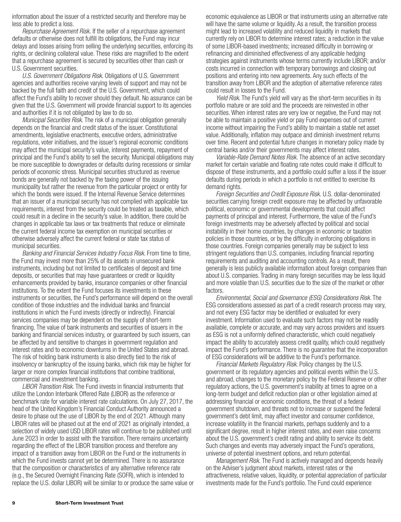information about the issuer of a restricted security and therefore may be less able to predict a loss.

*Repurchase Agreement Risk.* If the seller of a repurchase agreement defaults or otherwise does not fulfill its obligations, the Fund may incur delays and losses arising from selling the underlying securities, enforcing its rights, or declining collateral value. These risks are magnified to the extent that a repurchase agreement is secured by securities other than cash or U.S. Government securities.

*U.S. Government Obligations Risk.* Obligations of U.S. Government agencies and authorities receive varying levels of support and may not be backed by the full faith and credit of the U.S. Government, which could affect the Fund's ability to recover should they default. No assurance can be given that the U.S. Government will provide financial support to its agencies and authorities if it is not obligated by law to do so.

*Municipal Securities Risk.* The risk of a municipal obligation generally depends on the financial and credit status of the issuer. Constitutional amendments, legislative enactments, executive orders, administrative regulations, voter initiatives, and the issuer's regional economic conditions may affect the municipal security's value, interest payments, repayment of principal and the Fund's ability to sell the security. Municipal obligations may be more susceptible to downgrades or defaults during recessions or similar periods of economic stress. Municipal securities structured as revenue bonds are generally not backed by the taxing power of the issuing municipality but rather the revenue from the particular project or entity for which the bonds were issued. If the Internal Revenue Service determines that an issuer of a municipal security has not complied with applicable tax requirements, interest from the security could be treated as taxable, which could result in a decline in the security's value. In addition, there could be changes in applicable tax laws or tax treatments that reduce or eliminate the current federal income tax exemption on municipal securities or otherwise adversely affect the current federal or state tax status of municipal securities.

*Banking and Financial Services Industry Focus Risk.* From time to time, the Fund may invest more than 25% of its assets in unsecured bank instruments, including but not limited to certificates of deposit and time deposits, or securities that may have guarantees or credit or liquidity enhancements provided by banks, insurance companies or other financial institutions. To the extent the Fund focuses its investments in these instruments or securities, the Fund's performance will depend on the overall condition of those industries and the individual banks and financial institutions in which the Fund invests (directly or indirectly). Financial services companies may be dependent on the supply of short-term financing. The value of bank instruments and securities of issuers in the banking and financial services industry, or guaranteed by such issuers, can be affected by and sensitive to changes in government regulation and interest rates and to economic downturns in the United States and abroad. The risk of holding bank instruments is also directly tied to the risk of insolvency or bankruptcy of the issuing banks, which risk may be higher for larger or more complex financial institutions that combine traditional, commercial and investment banking.

*LIBOR Transition Risk.* The Fund invests in financial instruments that utilize the London Interbank Offered Rate (LIBOR) as the reference or benchmark rate for variable interest rate calculations. On July 27, 2017, the head of the United Kingdom's Financial Conduct Authority announced a desire to phase out the use of LIBOR by the end of 2021. Although many LIBOR rates will be phased out at the end of 2021 as originally intended, a selection of widely used USD LIBOR rates will continue to be published until June 2023 in order to assist with the transition. There remains uncertainty regarding the effect of the LIBOR transition process and therefore any impact of a transition away from LIBOR on the Fund or the instruments in which the Fund invests cannot yet be determined. There is no assurance that the composition or characteristics of any alternative reference rate (e.g., the Secured Overnight Financing Rate (SOFR), which is intended to replace the U.S. dollar LIBOR) will be similar to or produce the same value or economic equivalence as LIBOR or that instruments using an alternative rate will have the same volume or liquidity. As a result, the transition process might lead to increased volatility and reduced liquidity in markets that currently rely on LIBOR to determine interest rates; a reduction in the value of some LIBOR-based investments; increased difficulty in borrowing or refinancing and diminished effectiveness of any applicable hedging strategies against instruments whose terms currently include LIBOR; and/or costs incurred in connection with temporary borrowings and closing out positions and entering into new agreements. Any such effects of the transition away from LIBOR and the adoption of alternative reference rates could result in losses to the Fund.

*Yield Risk*. The Fund's yield will vary as the short-term securities in its portfolio mature or are sold and the proceeds are reinvested in other securities. When interest rates are very low or negative, the Fund may not be able to maintain a positive yield or pay Fund expenses out of current income without impairing the Fund's ability to maintain a stable net asset value. Additionally, inflation may outpace and diminish investment returns over time. Recent and potential future changes in monetary policy made by central banks and/or their governments may affect interest rates.

*Variable-Rate Demand Notes Risk.* The absence of an active secondary market for certain variable and floating rate notes could make it difficult to dispose of these instruments, and a portfolio could suffer a loss if the issuer defaults during periods in which a portfolio is not entitled to exercise its demand rights.

*Foreign Securities and Credit Exposure Risk.* U.S. dollar-denominated securities carrying foreign credit exposure may be affected by unfavorable political, economic or governmental developments that could affect payments of principal and interest. Furthermore, the value of the Fund's foreign investments may be adversely affected by political and social instability in their home countries, by changes in economic or taxation policies in those countries, or by the difficulty in enforcing obligations in those countries. Foreign companies generally may be subject to less stringent regulations than U.S. companies, including financial reporting requirements and auditing and accounting controls. As a result, there generally is less publicly available information about foreign companies than about U.S. companies. Trading in many foreign securities may be less liquid and more volatile than U.S. securities due to the size of the market or other factors.

*Environmental, Social and Governance (ESG) Considerations Risk*. The ESG considerations assessed as part of a credit research process may vary, and not every ESG factor may be identified or evaluated for every investment. Information used to evaluate such factors may not be readily available, complete or accurate, and may vary across providers and issuers as ESG is not a uniformly defined characteristic, which could negatively impact the ability to accurately assess credit quality, which could negatively impact the Fund's performance. There is no guarantee that the incorporation of ESG considerations will be additive to the Fund's performance.

*Financial Markets Regulatory Risk*. Policy changes by the U.S. government or its regulatory agencies and political events within the U.S. and abroad, changes to the monetary policy by the Federal Reserve or other regulatory actions, the U.S. government's inability at times to agree on a long-term budget and deficit reduction plan or other legislation aimed at addressing financial or economic conditions, the threat of a federal government shutdown, and threats not to increase or suspend the federal government's debt limit, may affect investor and consumer confidence, increase volatility in the financial markets, perhaps suddenly and to a significant degree, result in higher interest rates, and even raise concerns about the U.S. government's credit rating and ability to service its debt. Such changes and events may adversely impact the Fund's operations, universe of potential investment options, and return potential.

*Management Risk.* The Fund is actively managed and depends heavily on the Adviser's judgment about markets, interest rates or the attractiveness, relative values, liquidity, or potential appreciation of particular investments made for the Fund's portfolio. The Fund could experience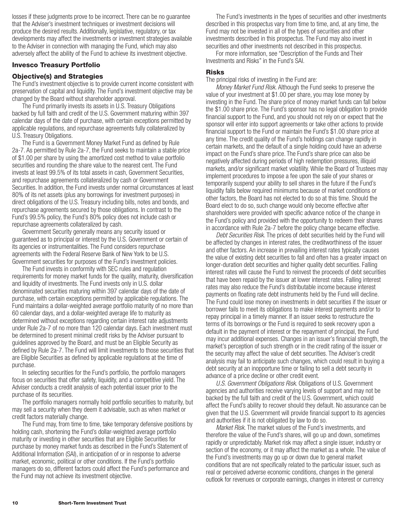<span id="page-11-0"></span>losses if these judgments prove to be incorrect. There can be no guarantee that the Adviser's investment techniques or investment decisions will produce the desired results. Additionally, legislative, regulatory, or tax developments may affect the investments or investment strategies available to the Adviser in connection with managing the Fund, which may also adversely affect the ability of the Fund to achieve its investment objective.

## **Invesco Treasury Portfolio**

## **Objective(s) and Strategies**

The Fund's investment objective is to provide current income consistent with preservation of capital and liquidity. The Fund's investment objective may be changed by the Board without shareholder approval.

The Fund primarily invests its assets in U.S. Treasury Obligations backed by full faith and credit of the U.S. Government maturing within 397 calendar days of the date of purchase, with certain exceptions permitted by applicable regulations, and repurchase agreements fully collateralized by U.S. Treasury Obligations.

The Fund is a Government Money Market Fund as defined by Rule 2a-7. As permitted by Rule 2a-7, the Fund seeks to maintain a stable price of \$1.00 per share by using the amortized cost method to value portfolio securities and rounding the share value to the nearest cent. The Fund invests at least 99.5% of its total assets in cash, Government Securities, and repurchase agreements collateralized by cash or Government Securities. In addition, the Fund invests under normal circumstances at least 80% of its net assets (plus any borrowings for investment purposes) in direct obligations of the U.S. Treasury including bills, notes and bonds, and repurchase agreements secured by those obligations. In contrast to the Fund's 99.5% policy, the Fund's 80% policy does not include cash or repurchase agreements collateralized by cash.

Government Security generally means any security issued or guaranteed as to principal or interest by the U.S. Government or certain of its agencies or instrumentalities. The Fund considers repurchase agreements with the Federal Reserve Bank of New York to be U.S. Government securities for purposes of the Fund's investment policies.

The Fund invests in conformity with SEC rules and regulation requirements for money market funds for the quality, maturity, diversification and liquidity of investments. The Fund invests only in U.S. dollar denominated securities maturing within 397 calendar days of the date of purchase, with certain exceptions permitted by applicable regulations. The Fund maintains a dollar-weighted average portfolio maturity of no more than 60 calendar days, and a dollar-weighted average life to maturity as determined without exceptions regarding certain interest rate adjustments under Rule 2a-7 of no more than 120 calendar days. Each investment must be determined to present minimal credit risks by the Adviser pursuant to guidelines approved by the Board, and must be an Eligible Security as defined by Rule 2a-7. The Fund will limit investments to those securities that are Eligible Securities as defined by applicable regulations at the time of purchase.

In selecting securities for the Fund's portfolio, the portfolio managers focus on securities that offer safety, liquidity, and a competitive yield. The Adviser conducts a credit analysis of each potential issuer prior to the purchase of its securities.

The portfolio managers normally hold portfolio securities to maturity, but may sell a security when they deem it advisable, such as when market or credit factors materially change.

The Fund may, from time to time, take temporary defensive positions by holding cash, shortening the Fund's dollar-weighted average portfolio maturity or investing in other securities that are Eligible Securities for purchase by money market funds as described in the Fund's Statement of Additional Information (SAI), in anticipation of or in response to adverse market, economic, political or other conditions. If the Fund's portfolio managers do so, different factors could affect the Fund's performance and the Fund may not achieve its investment objective.

The Fund's investments in the types of securities and other investments described in this prospectus vary from time to time, and, at any time, the Fund may not be invested in all of the types of securities and other investments described in this prospectus. The Fund may also invest in securities and other investments not described in this prospectus.

For more information, see "Description of the Funds and Their Investments and Risks" in the Fund's SAI.

#### **Risks**

The principal risks of investing in the Fund are:

*Money Market Fund Risk.* Although the Fund seeks to preserve the value of your investment at \$1.00 per share, you may lose money by investing in the Fund. The share price of money market funds can fall below the \$1.00 share price. The Fund's sponsor has no legal obligation to provide financial support to the Fund, and you should not rely on or expect that the sponsor will enter into support agreements or take other actions to provide financial support to the Fund or maintain the Fund's \$1.00 share price at any time. The credit quality of the Fund's holdings can change rapidly in certain markets, and the default of a single holding could have an adverse impact on the Fund's share price. The Fund's share price can also be negatively affected during periods of high redemption pressures, illiquid markets, and/or significant market volatility. While the Board of Trustees may implement procedures to impose a fee upon the sale of your shares or temporarily suspend your ability to sell shares in the future if the Fund's liquidity falls below required minimums because of market conditions or other factors, the Board has not elected to do so at this time. Should the Board elect to do so, such change would only become effective after shareholders were provided with specific advance notice of the change in the Fund's policy and provided with the opportunity to redeem their shares in accordance with Rule 2a-7 before the policy change became effective.

*Debt Securities Risk.* The prices of debt securities held by the Fund will be affected by changes in interest rates, the creditworthiness of the issuer and other factors. An increase in prevailing interest rates typically causes the value of existing debt securities to fall and often has a greater impact on longer-duration debt securities and higher quality debt securities. Falling interest rates will cause the Fund to reinvest the proceeds of debt securities that have been repaid by the issuer at lower interest rates. Falling interest rates may also reduce the Fund's distributable income because interest payments on floating rate debt instruments held by the Fund will decline. The Fund could lose money on investments in debt securities if the issuer or borrower fails to meet its obligations to make interest payments and/or to repay principal in a timely manner. If an issuer seeks to restructure the terms of its borrowings or the Fund is required to seek recovery upon a default in the payment of interest or the repayment of principal, the Fund may incur additional expenses. Changes in an issuer's financial strength, the market's perception of such strength or in the credit rating of the issuer or the security may affect the value of debt securities. The Adviser's credit analysis may fail to anticipate such changes, which could result in buying a debt security at an inopportune time or failing to sell a debt security in advance of a price decline or other credit event.

*U.S. Government Obligations Risk.* Obligations of U.S. Government agencies and authorities receive varying levels of support and may not be backed by the full faith and credit of the U.S. Government, which could affect the Fund's ability to recover should they default. No assurance can be given that the U.S. Government will provide financial support to its agencies and authorities if it is not obligated by law to do so.

*Market Risk.* The market values of the Fund's investments, and therefore the value of the Fund's shares, will go up and down, sometimes rapidly or unpredictably. Market risk may affect a single issuer, industry or section of the economy, or it may affect the market as a whole. The value of the Fund's investments may go up or down due to general market conditions that are not specifically related to the particular issuer, such as real or perceived adverse economic conditions, changes in the general outlook for revenues or corporate earnings, changes in interest or currency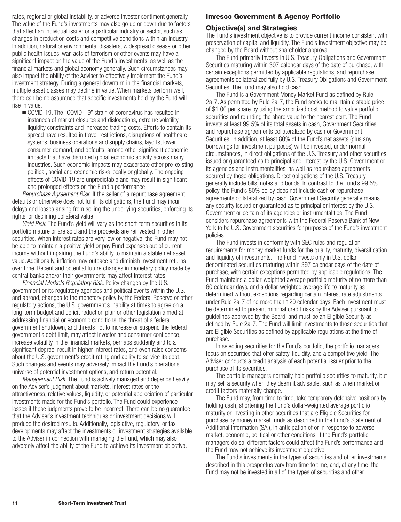<span id="page-12-0"></span>rates, regional or global instability, or adverse investor sentiment generally. The value of the Fund's investments may also go up or down due to factors that affect an individual issuer or a particular industry or sector, such as changes in production costs and competitive conditions within an industry. In addition, natural or environmental disasters, widespread disease or other public health issues, war, acts of terrorism or other events may have a significant impact on the value of the Fund's investments, as well as the financial markets and global economy generally. Such circumstances may also impact the ability of the Adviser to effectively implement the Fund's investment strategy. During a general downturn in the financial markets, multiple asset classes may decline in value. When markets perform well, there can be no assurance that specific investments held by the Fund will rise in value.

■ COVID-19. The "COVID-19" strain of coronavirus has resulted in instances of market closures and dislocations, extreme volatility, liquidity constraints and increased trading costs. Efforts to contain its spread have resulted in travel restrictions, disruptions of healthcare systems, business operations and supply chains, layoffs, lower consumer demand, and defaults, among other significant economic impacts that have disrupted global economic activity across many industries. Such economic impacts may exacerbate other pre-existing political, social and economic risks locally or globally. The ongoing effects of COVID-19 are unpredictable and may result in significant and prolonged effects on the Fund's performance.

*Repurchase Agreement Risk.* If the seller of a repurchase agreement defaults or otherwise does not fulfill its obligations, the Fund may incur delays and losses arising from selling the underlying securities, enforcing its rights, or declining collateral value.

*Yield Risk*. The Fund's yield will vary as the short-term securities in its portfolio mature or are sold and the proceeds are reinvested in other securities. When interest rates are very low or negative, the Fund may not be able to maintain a positive yield or pay Fund expenses out of current income without impairing the Fund's ability to maintain a stable net asset value. Additionally, inflation may outpace and diminish investment returns over time. Recent and potential future changes in monetary policy made by central banks and/or their governments may affect interest rates.

*Financial Markets Regulatory Risk*. Policy changes by the U.S. government or its regulatory agencies and political events within the U.S. and abroad, changes to the monetary policy by the Federal Reserve or other regulatory actions, the U.S. government's inability at times to agree on a long-term budget and deficit reduction plan or other legislation aimed at addressing financial or economic conditions, the threat of a federal government shutdown, and threats not to increase or suspend the federal government's debt limit, may affect investor and consumer confidence, increase volatility in the financial markets, perhaps suddenly and to a significant degree, result in higher interest rates, and even raise concerns about the U.S. government's credit rating and ability to service its debt. Such changes and events may adversely impact the Fund's operations, universe of potential investment options, and return potential.

*Management Risk.* The Fund is actively managed and depends heavily on the Adviser's judgment about markets, interest rates or the attractiveness, relative values, liquidity, or potential appreciation of particular investments made for the Fund's portfolio. The Fund could experience losses if these judgments prove to be incorrect. There can be no guarantee that the Adviser's investment techniques or investment decisions will produce the desired results. Additionally, legislative, regulatory, or tax developments may affect the investments or investment strategies available to the Adviser in connection with managing the Fund, which may also adversely affect the ability of the Fund to achieve its investment objective.

## **Invesco Government & Agency Portfolio**

## **Objective(s) and Strategies**

The Fund's investment objective is to provide current income consistent with preservation of capital and liquidity. The Fund's investment objective may be changed by the Board without shareholder approval.

The Fund primarily invests in U.S. Treasury Obligations and Government Securities maturing within 397 calendar days of the date of purchase, with certain exceptions permitted by applicable regulations, and repurchase agreements collateralized fully by U.S. Treasury Obligations and Government Securities. The Fund may also hold cash.

The Fund is a Government Money Market Fund as defined by Rule 2a-7. As permitted by Rule 2a-7, the Fund seeks to maintain a stable price of \$1.00 per share by using the amortized cost method to value portfolio securities and rounding the share value to the nearest cent. The Fund invests at least 99.5% of its total assets in cash, Government Securities, and repurchase agreements collateralized by cash or Government Securities. In addition, at least 80% of the Fund's net assets (plus any borrowings for investment purposes) will be invested, under normal circumstances, in direct obligations of the U.S. Treasury and other securities issued or guaranteed as to principal and interest by the U.S. Government or its agencies and instrumentalities, as well as repurchase agreements secured by those obligations. Direct obligations of the U.S. Treasury generally include bills, notes and bonds. In contrast to the Fund's 99.5% policy, the Fund's 80% policy does not include cash or repurchase agreements collateralized by cash. Government Security generally means any security issued or guaranteed as to principal or interest by the U.S. Government or certain of its agencies or instrumentalities. The Fund considers repurchase agreements with the Federal Reserve Bank of New York to be U.S. Government securities for purposes of the Fund's investment policies.

The Fund invests in conformity with SEC rules and regulation requirements for money market funds for the quality, maturity, diversification and liquidity of investments. The Fund invests only in U.S. dollar denominated securities maturing within 397 calendar days of the date of purchase, with certain exceptions permitted by applicable regulations. The Fund maintains a dollar-weighted average portfolio maturity of no more than 60 calendar days, and a dollar-weighted average life to maturity as determined without exceptions regarding certain interest rate adjustments under Rule 2a-7 of no more than 120 calendar days. Each investment must be determined to present minimal credit risks by the Adviser pursuant to guidelines approved by the Board, and must be an Eligible Security as defined by Rule 2a-7. The Fund will limit investments to those securities that are Eligible Securities as defined by applicable regulations at the time of purchase.

In selecting securities for the Fund's portfolio, the portfolio managers focus on securities that offer safety, liquidity, and a competitive yield. The Adviser conducts a credit analysis of each potential issuer prior to the purchase of its securities.

The portfolio managers normally hold portfolio securities to maturity, but may sell a security when they deem it advisable, such as when market or credit factors materially change.

The Fund may, from time to time, take temporary defensive positions by holding cash, shortening the Fund's dollar-weighted average portfolio maturity or investing in other securities that are Eligible Securities for purchase by money market funds as described in the Fund's Statement of Additional Information (SAI), in anticipation of or in response to adverse market, economic, political or other conditions. If the Fund's portfolio managers do so, different factors could affect the Fund's performance and the Fund may not achieve its investment objective.

The Fund's investments in the types of securities and other investments described in this prospectus vary from time to time, and, at any time, the Fund may not be invested in all of the types of securities and other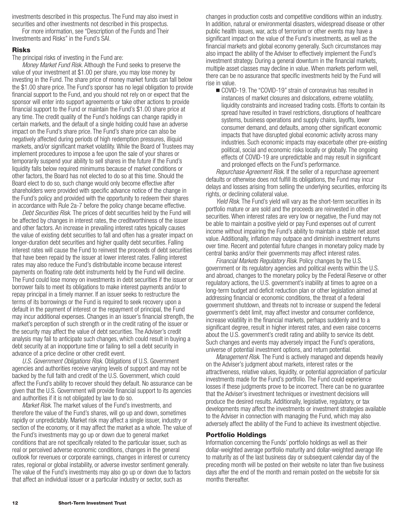investments described in this prospectus. The Fund may also invest in securities and other investments not described in this prospectus.

For more information, see "Description of the Funds and Their Investments and Risks" in the Fund's SAI.

#### **Risks**

The principal risks of investing in the Fund are:

*Money Market Fund Risk.* Although the Fund seeks to preserve the value of your investment at \$1.00 per share, you may lose money by investing in the Fund. The share price of money market funds can fall below the \$1.00 share price. The Fund's sponsor has no legal obligation to provide financial support to the Fund, and you should not rely on or expect that the sponsor will enter into support agreements or take other actions to provide financial support to the Fund or maintain the Fund's \$1.00 share price at any time. The credit quality of the Fund's holdings can change rapidly in certain markets, and the default of a single holding could have an adverse impact on the Fund's share price. The Fund's share price can also be negatively affected during periods of high redemption pressures, illiquid markets, and/or significant market volatility. While the Board of Trustees may implement procedures to impose a fee upon the sale of your shares or temporarily suspend your ability to sell shares in the future if the Fund's liquidity falls below required minimums because of market conditions or other factors, the Board has not elected to do so at this time. Should the Board elect to do so, such change would only become effective after shareholders were provided with specific advance notice of the change in the Fund's policy and provided with the opportunity to redeem their shares in accordance with Rule 2a-7 before the policy change became effective.

*Debt Securities Risk.* The prices of debt securities held by the Fund will be affected by changes in interest rates, the creditworthiness of the issuer and other factors. An increase in prevailing interest rates typically causes the value of existing debt securities to fall and often has a greater impact on longer-duration debt securities and higher quality debt securities. Falling interest rates will cause the Fund to reinvest the proceeds of debt securities that have been repaid by the issuer at lower interest rates. Falling interest rates may also reduce the Fund's distributable income because interest payments on floating rate debt instruments held by the Fund will decline. The Fund could lose money on investments in debt securities if the issuer or borrower fails to meet its obligations to make interest payments and/or to repay principal in a timely manner. If an issuer seeks to restructure the terms of its borrowings or the Fund is required to seek recovery upon a default in the payment of interest or the repayment of principal, the Fund may incur additional expenses. Changes in an issuer's financial strength, the market's perception of such strength or in the credit rating of the issuer or the security may affect the value of debt securities. The Adviser's credit analysis may fail to anticipate such changes, which could result in buying a debt security at an inopportune time or failing to sell a debt security in advance of a price decline or other credit event.

*U.S. Government Obligations Risk.* Obligations of U.S. Government agencies and authorities receive varying levels of support and may not be backed by the full faith and credit of the U.S. Government, which could affect the Fund's ability to recover should they default. No assurance can be given that the U.S. Government will provide financial support to its agencies and authorities if it is not obligated by law to do so.

*Market Risk.* The market values of the Fund's investments, and therefore the value of the Fund's shares, will go up and down, sometimes rapidly or unpredictably. Market risk may affect a single issuer, industry or section of the economy, or it may affect the market as a whole. The value of the Fund's investments may go up or down due to general market conditions that are not specifically related to the particular issuer, such as real or perceived adverse economic conditions, changes in the general outlook for revenues or corporate earnings, changes in interest or currency rates, regional or global instability, or adverse investor sentiment generally. The value of the Fund's investments may also go up or down due to factors that affect an individual issuer or a particular industry or sector, such as

changes in production costs and competitive conditions within an industry. In addition, natural or environmental disasters, widespread disease or other public health issues, war, acts of terrorism or other events may have a significant impact on the value of the Fund's investments, as well as the financial markets and global economy generally. Such circumstances may also impact the ability of the Adviser to effectively implement the Fund's investment strategy. During a general downturn in the financial markets, multiple asset classes may decline in value. When markets perform well, there can be no assurance that specific investments held by the Fund will rise in value.

■ COVID-19. The "COVID-19" strain of coronavirus has resulted in instances of market closures and dislocations, extreme volatility, liquidity constraints and increased trading costs. Efforts to contain its spread have resulted in travel restrictions, disruptions of healthcare systems, business operations and supply chains, layoffs, lower consumer demand, and defaults, among other significant economic impacts that have disrupted global economic activity across many industries. Such economic impacts may exacerbate other pre-existing political, social and economic risks locally or globally. The ongoing effects of COVID-19 are unpredictable and may result in significant and prolonged effects on the Fund's performance.

*Repurchase Agreement Risk.* If the seller of a repurchase agreement defaults or otherwise does not fulfill its obligations, the Fund may incur delays and losses arising from selling the underlying securities, enforcing its rights, or declining collateral value.

*Yield Risk*. The Fund's yield will vary as the short-term securities in its portfolio mature or are sold and the proceeds are reinvested in other securities. When interest rates are very low or negative, the Fund may not be able to maintain a positive yield or pay Fund expenses out of current income without impairing the Fund's ability to maintain a stable net asset value. Additionally, inflation may outpace and diminish investment returns over time. Recent and potential future changes in monetary policy made by central banks and/or their governments may affect interest rates.

*Financial Markets Regulatory Risk*. Policy changes by the U.S. government or its regulatory agencies and political events within the U.S. and abroad, changes to the monetary policy by the Federal Reserve or other regulatory actions, the U.S. government's inability at times to agree on a long-term budget and deficit reduction plan or other legislation aimed at addressing financial or economic conditions, the threat of a federal government shutdown, and threats not to increase or suspend the federal government's debt limit, may affect investor and consumer confidence, increase volatility in the financial markets, perhaps suddenly and to a significant degree, result in higher interest rates, and even raise concerns about the U.S. government's credit rating and ability to service its debt. Such changes and events may adversely impact the Fund's operations, universe of potential investment options, and return potential.

*Management Risk.* The Fund is actively managed and depends heavily on the Adviser's judgment about markets, interest rates or the attractiveness, relative values, liquidity, or potential appreciation of particular investments made for the Fund's portfolio. The Fund could experience losses if these judgments prove to be incorrect. There can be no guarantee that the Adviser's investment techniques or investment decisions will produce the desired results. Additionally, legislative, regulatory, or tax developments may affect the investments or investment strategies available to the Adviser in connection with managing the Fund, which may also adversely affect the ability of the Fund to achieve its investment objective.

#### **Portfolio Holdings**

Information concerning the Funds' portfolio holdings as well as their dollar-weighted average portfolio maturity and dollar-weighted average life to maturity as of the last business day or subsequent calendar day of the preceding month will be posted on their website no later than five business days after the end of the month and remain posted on the website for six months thereafter.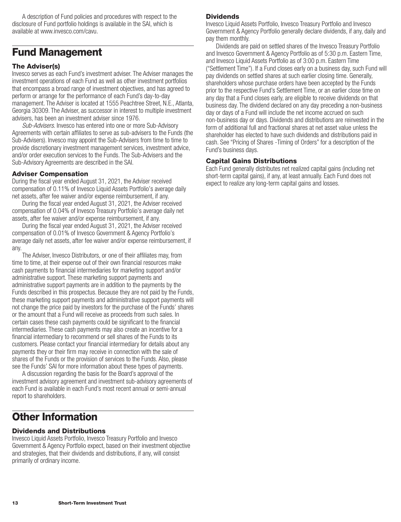<span id="page-14-0"></span>A description of Fund policies and procedures with respect to the disclosure of Fund portfolio holdings is available in the SAI, which is available at www.invesco.com/cavu.

# **Fund Management**

## **The Adviser(s)**

Invesco serves as each Fund's investment adviser. The Adviser manages the investment operations of each Fund as well as other investment portfolios that encompass a broad range of investment objectives, and has agreed to perform or arrange for the performance of each Fund's day-to-day management. The Adviser is located at 1555 Peachtree Street, N.E., Atlanta, Georgia 30309. The Adviser, as successor in interest to multiple investment advisers, has been an investment adviser since 1976.

*Sub-Advisers*. Invesco has entered into one or more Sub-Advisory Agreements with certain affiliates to serve as sub-advisers to the Funds (the Sub-Advisers). Invesco may appoint the Sub-Advisers from time to time to provide discretionary investment management services, investment advice, and/or order execution services to the Funds. The Sub-Advisers and the Sub-Advisory Agreements are described in the SAI.

### **Adviser Compensation**

During the fiscal year ended August 31, 2021, the Adviser received compensation of 0.11% of Invesco Liquid Assets Portfolio's average daily net assets, after fee waiver and/or expense reimbursement, if any.

During the fiscal year ended August 31, 2021, the Adviser received compensation of 0.04% of Invesco Treasury Portfolio's average daily net assets, after fee waiver and/or expense reimbursement, if any.

During the fiscal year ended August 31, 2021, the Adviser received compensation of 0.01% of Invesco Government & Agency Portfolio's average daily net assets, after fee waiver and/or expense reimbursement, if any.

The Adviser, Invesco Distributors, or one of their affiliates may, from time to time, at their expense out of their own financial resources make cash payments to financial intermediaries for marketing support and/or administrative support. These marketing support payments and administrative support payments are in addition to the payments by the Funds described in this prospectus. Because they are not paid by the Funds, these marketing support payments and administrative support payments will not change the price paid by investors for the purchase of the Funds' shares or the amount that a Fund will receive as proceeds from such sales. In certain cases these cash payments could be significant to the financial intermediaries. These cash payments may also create an incentive for a financial intermediary to recommend or sell shares of the Funds to its customers. Please contact your financial intermediary for details about any payments they or their firm may receive in connection with the sale of shares of the Funds or the provision of services to the Funds. Also, please see the Funds' SAI for more information about these types of payments.

A discussion regarding the basis for the Board's approval of the investment advisory agreement and investment sub-advisory agreements of each Fund is available in each Fund's most recent annual or semi-annual report to shareholders.

## **Other Information**

## **Dividends and Distributions**

Invesco Liquid Assets Portfolio, Invesco Treasury Portfolio and Invesco Government & Agency Portfolio expect, based on their investment objective and strategies, that their dividends and distributions, if any, will consist primarily of ordinary income.

#### **Dividends**

Invesco Liquid Assets Portfolio, Invesco Treasury Portfolio and Invesco Government & Agency Portfolio generally declare dividends, if any, daily and pay them monthly.

Dividends are paid on settled shares of the Invesco Treasury Portfolio and Invesco Government & Agency Portfolio as of 5:30 p.m. Eastern Time, and Invesco Liquid Assets Portfolio as of 3:00 p.m. Eastern Time ("Settlement Time"). If a Fund closes early on a business day, such Fund will pay dividends on settled shares at such earlier closing time. Generally, shareholders whose purchase orders have been accepted by the Funds prior to the respective Fund's Settlement Time, or an earlier close time on any day that a Fund closes early, are eligible to receive dividends on that business day. The dividend declared on any day preceding a non-business day or days of a Fund will include the net income accrued on such non-business day or days. Dividends and distributions are reinvested in the form of additional full and fractional shares at net asset value unless the shareholder has elected to have such dividends and distributions paid in cash. See "Pricing of Shares -Timing of Orders" for a description of the Fund's business days.

#### **Capital Gains Distributions**

Each Fund generally distributes net realized capital gains (including net short-term capital gains), if any, at least annually. Each Fund does not expect to realize any long-term capital gains and losses.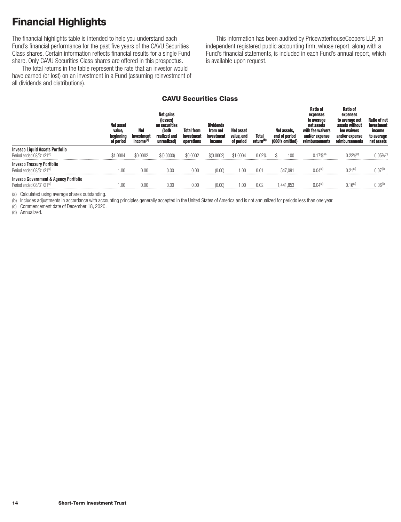# <span id="page-15-0"></span>**Financial Highlights**

The financial highlights table is intended to help you understand each Fund's financial performance for the past five years of the CAVU Securities Class shares. Certain information reflects financial results for a single Fund share. Only CAVU Securities Class shares are offered in this prospectus.

The total returns in the table represent the rate that an investor would have earned (or lost) on an investment in a Fund (assuming reinvestment of all dividends and distributions).

This information has been audited by PricewaterhouseCoopers LLP, an independent registered public accounting firm, whose report, along with a Fund's financial statements, is included in each Fund's annual report, which is available upon request.

## **CAVU Securities Class**

|                                                                                          | <b>Net asset</b><br>value,<br>beginning<br>of period | Net<br>investment<br>income <sup>(a)</sup> | <b>Net gains</b><br>(losses)<br>on securities<br>(both<br>realized and<br>unrealized) | <b>Total from</b><br>investment<br>operations | <b>Dividends</b><br>from net<br>investment<br>income | Net asset<br>value, end<br>of period | Total<br>return <sup>(b)</sup> | Net assets.<br>end of period<br>(000's omitted) | Ratio of<br>expenses<br>to average<br>net assets<br>with fee waivers<br>and/or expense<br>reimbursements | <b>Ratio of</b><br>expenses<br>to average net<br>assets without<br>fee waivers<br>and/or expense<br>reimbursements | <b>Ratio of net</b><br>investment<br>income<br>to average<br>net assets |
|------------------------------------------------------------------------------------------|------------------------------------------------------|--------------------------------------------|---------------------------------------------------------------------------------------|-----------------------------------------------|------------------------------------------------------|--------------------------------------|--------------------------------|-------------------------------------------------|----------------------------------------------------------------------------------------------------------|--------------------------------------------------------------------------------------------------------------------|-------------------------------------------------------------------------|
| <b>Invesco Liquid Assets Portfolio</b><br>Period ended 08/31/21 <sup>(c)</sup>           | \$1.0004                                             | \$0,0002                                   | \$(0.0000)                                                                            | \$0,0002                                      | \$(0.0002)                                           | \$1,0004                             | $0.02\%$                       | 100                                             | $0.17\%$ <sup>(d)</sup>                                                                                  | $0.22%$ <sup>(d)</sup>                                                                                             | 0.05% <sup>(d)</sup>                                                    |
| <b>Invesco Treasury Portfolio</b><br>Period ended 08/31/21 <sup>(c)</sup>                |                                                      | 0.00                                       | 0.00                                                                                  | 0.00                                          | (0.00)                                               | l N                                  | 0.01                           | 547.091                                         | 0.04 <sup>(d)</sup>                                                                                      | 0.21(0)                                                                                                            | (1.07 <sup>(d)</sup> )                                                  |
| <b>Invesco Government &amp; Agency Portfolio</b><br>Period ended 08/31/21 <sup>(c)</sup> |                                                      | 0.00                                       | 0.00                                                                                  | 0.00                                          | (0.00)                                               | 1.00                                 | 0.02                           | 1.441.853                                       | 0.04 <sup>(d)</sup>                                                                                      | 0.16(9)                                                                                                            | U UK(a                                                                  |

(a) Calculated using average shares outstanding.

(b) Includes adjustments in accordance with accounting principles generally accepted in the United States of America and is not annualized for periods less than one year.

(c) Commencement date of December 18, 2020.

(d) Annualized.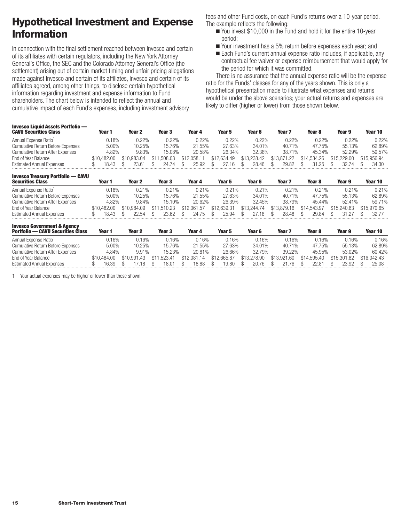# <span id="page-16-0"></span>**Hypothetical Investment and Expense Information**

In connection with the final settlement reached between Invesco and certain of its affiliates with certain regulators, including the New York Attorney General's Office, the SEC and the Colorado Attorney General's Office (the settlement) arising out of certain market timing and unfair pricing allegations made against Invesco and certain of its affiliates, Invesco and certain of its affiliates agreed, among other things, to disclose certain hypothetical information regarding investment and expense information to Fund shareholders. The chart below is intended to reflect the annual and cumulative impact of each Fund's expenses, including investment advisory

fees and other Fund costs, on each Fund's returns over a 10-year period. The example reflects the following:

- You invest \$10,000 in the Fund and hold it for the entire 10-year period;
- Your investment has a 5% return before expenses each year; and
- Each Fund's current annual expense ratio includes, if applicable, any contractual fee waiver or expense reimbursement that would apply for the period for which it was committed.

There is no assurance that the annual expense ratio will be the expense ratio for the Funds' classes for any of the years shown. This is only a hypothetical presentation made to illustrate what expenses and returns would be under the above scenarios; your actual returns and expenses are likely to differ (higher or lower) from those shown below.

| <b>Invesco Liquid Assets Portfolio —</b><br><b>CAVU Securities Class</b> | Year 1      | Year 2      | Year 3          | Year 4      | Year 5      | Year 6      | Year        | Year 8      | Year 9      | Year 10     |
|--------------------------------------------------------------------------|-------------|-------------|-----------------|-------------|-------------|-------------|-------------|-------------|-------------|-------------|
| Annual Expense Ratio <sup>1</sup>                                        | 0.18%       | 0.22%       | 0.22%           | 0.22%       | $0.22\%$    | 0.22%       | 0.22%       | $0.22\%$    | 0.22%       | 0.22%       |
| Cumulative Return Before Expenses                                        | 5.00%       | 10.25%      | 15.76%          | 21.55%      | 27.63%      | 34.01%      | 40.71%      | 47.75%      | 55.13%      | 62.89%      |
| <b>Cumulative Return After Expenses</b>                                  | 4.82%       | 9.83%       | 15.08%          | 20.58%      | 26.34%      | 32.38%      | 38.71%      | 45.34%      | 52.29%      | 59.57%      |
| End of Year Balance                                                      | \$10.482.00 | \$10.983.04 | .508.03<br>\$11 | \$12.058.11 | \$12,634.49 | \$13,238,42 | \$13,871,22 | \$14.534.26 | \$15.229.00 | \$15.956.94 |
| <b>Estimated Annual Expenses</b>                                         | 18 43       | 3 h I       | 24 74           | 25.92       | 16          | 28.46       | 29.82       | 31.25       | 3274        | 34.30       |

| <b>Invesco Treasury Portfolio — CAVU</b><br><b>Securities Class</b> | Year 1      | Year 2      | Year 3      | Year 4      | Year 5      | Year 6      | Year <sub>7</sub> | Year <sub>8</sub> | Year 9      | Year 10     |
|---------------------------------------------------------------------|-------------|-------------|-------------|-------------|-------------|-------------|-------------------|-------------------|-------------|-------------|
| Annual Expense Ratio <sup>1</sup>                                   | 0.18%       | 0.21%       | 0.21%       | 0.21%       | 0.21%       | 0.21%       | 0.21%             | 0.21%             | 0.21%       | 0.21%       |
| <b>Cumulative Return Before Expenses</b>                            | 5.00%       | 10.25%      | 15.76%      | 21.55%      | 27.63%      | 34.01%      | 40.71%            | 47.75%            | 55.13%      | 62.89%      |
| <b>Cumulative Return After Expenses</b>                             | 4.82%       | 9.84%       | 15.10%      | 20.62%      | 26.39%      | 32.45%      | 38.79%            | 45.44%            | 52.41%      | 59.71%      |
| End of Year Balance                                                 | \$10.482.00 | \$10.984.09 | \$11.510.23 | \$12.061.57 | \$12.639.31 | \$13,244.74 | \$13,879.16       | \$14,543,97       | \$15,240.63 | \$15,970.65 |
| <b>Estimated Annual Expenses</b>                                    | 18.43       | 22.54       | 23.62       | 24.75       | 25.94       | 27.18       | 28.48             | 29.84             | 31.27       | 32.77       |
|                                                                     |             |             |             |             |             |             |                   |                   |             |             |

| <b>Invesco Government &amp; Agency</b><br><b>Portfolio — CAVU Securities Class</b> | Year 1      | Year 2      | Year 3           | Year 4      | Year 5      | Year 6      | Year <sub>7</sub> | Year <sub>8</sub> | Year 9      | Year 10     |
|------------------------------------------------------------------------------------|-------------|-------------|------------------|-------------|-------------|-------------|-------------------|-------------------|-------------|-------------|
| Annual Expense Ratio <sup>1</sup>                                                  | 0.16%       | 0.16%       | 0.16%            | 0.16%       | 0.16%       | 0.16%       | 0.16%             | 0.16%             | 0.16%       | 0.16%       |
| <b>Cumulative Return Before Expenses</b>                                           | 5.00%       | 10.25%      | 15.76%           | 21.55%      | 27.63%      | 34.01%      | 40.71%            | 47.75%            | 55.13%      | 62.89%      |
| <b>Cumulative Return After Expenses</b>                                            | 4.84%       | 9.91%       | 15.23%           | 20.81%      | 26.66%      | 32.79%      | 39.22%            | 45.95%            | 53.02%      | 60.42%      |
| End of Year Balance                                                                | \$10.484.00 | \$10.991.43 | 1.523.41<br>\$11 | \$12,081.14 | \$12,665.87 | \$13,278.90 | \$13.921.60       | \$14,595.40       | \$15.301.82 | \$16,042.43 |
| <b>Estimated Annual Expenses</b>                                                   | 16.39       |             | 18.01            | 18.88       | 19.80       | 20.76       | 21.76             | 22.81             | 23.92       | 25.08       |

1 Your actual expenses may be higher or lower than those shown.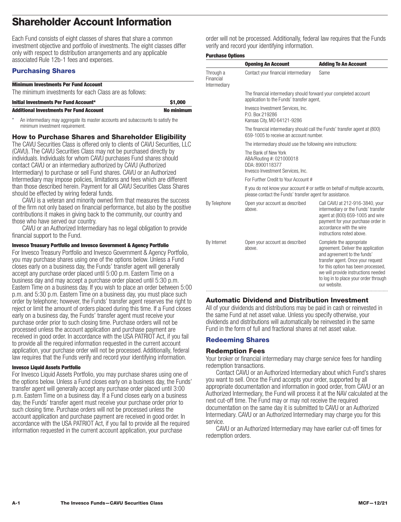# <span id="page-17-0"></span>**Shareholder Account Information**

Each Fund consists of eight classes of shares that share a common investment objective and portfolio of investments. The eight classes differ only with respect to distribution arrangements and any applicable associated Rule 12b-1 fees and expenses.

## **Purchasing Shares**

| <b>Additional Investments Per Fund Account</b>         | <b>No minimum</b> |
|--------------------------------------------------------|-------------------|
| Initial Investments Per Fund Account*                  | \$1,000           |
| The minimum investments for each Class are as follows: |                   |
| <b>Minimum Investments Per Fund Account</b>            |                   |

An intermediary may aggregate its master accounts and subaccounts to satisfy the minimum investment requirement.

## **How to Purchase Shares and Shareholder Eligibility**

The CAVU Securities Class is offered only to clients of CAVU Securities, LLC (CAVU). The CAVU Securities Class may not be purchased directly by individuals. Individuals for whom CAVU purchases Fund shares should contact CAVU or an intermediary authorized by CAVU (Authorized Intermediary) to purchase or sell Fund shares. CAVU or an Authorized Intermediary may impose policies, limitations and fees which are different than those described herein. Payment for all CAVU Securities Class Shares should be effected by wiring federal funds.

CAVU is a veteran and minority owned firm that measures the success of the firm not only based on financial performance, but also by the positive contributions it makes in giving back to the community, our country and those who have served our country.

CAVU or an Authorized Intermediary has no legal obligation to provide financial support to the Fund.

#### **Invesco Treasury Portfolio and Invesco Government & Agency Portfolio**

For Invesco Treasury Portfolio and Invesco Government & Agency Portfolio, you may purchase shares using one of the options below. Unless a Fund closes early on a business day, the Funds' transfer agent will generally accept any purchase order placed until 5:00 p.m. Eastern Time on a business day and may accept a purchase order placed until 5:30 p.m. Eastern Time on a business day. If you wish to place an order between 5:00 p.m. and 5:30 p.m. Eastern Time on a business day, you must place such order by telephone; however, the Funds' transfer agent reserves the right to reject or limit the amount of orders placed during this time. If a Fund closes early on a business day, the Funds' transfer agent must receive your purchase order prior to such closing time. Purchase orders will not be processed unless the account application and purchase payment are received in good order. In accordance with the USA PATRIOT Act, if you fail to provide all the required information requested in the current account application, your purchase order will not be processed. Additionally, federal law requires that the Funds verify and record your identifying information.

#### **Invesco Liquid Assets Portfolio**

For Invesco Liquid Assets Portfolio, you may purchase shares using one of the options below. Unless a Fund closes early on a business day, the Funds' transfer agent will generally accept any purchase order placed until 3:00 p.m. Eastern Time on a business day. If a Fund closes early on a business day, the Funds' transfer agent must receive your purchase order prior to such closing time. Purchase orders will not be processed unless the account application and purchase payment are received in good order. In accordance with the USA PATRIOT Act, if you fail to provide all the required information requested in the current account application, your purchase

order will not be processed. Additionally, federal law requires that the Funds verify and record your identifying information.

#### **Purchase Ontions**

|                                        | <b>Opening An Account</b>                                                                                           | <b>Adding To An Account</b>                                                                                                                                                                                                                                               |  |  |  |  |  |  |
|----------------------------------------|---------------------------------------------------------------------------------------------------------------------|---------------------------------------------------------------------------------------------------------------------------------------------------------------------------------------------------------------------------------------------------------------------------|--|--|--|--|--|--|
| Through a<br>Financial<br>Intermediary | Contact your financial intermediary                                                                                 | Same                                                                                                                                                                                                                                                                      |  |  |  |  |  |  |
|                                        | The financial intermediary should forward your completed account<br>application to the Funds' transfer agent,       |                                                                                                                                                                                                                                                                           |  |  |  |  |  |  |
|                                        | Invesco Investment Services, Inc.<br>P.O. Box 219286<br>Kansas City, MO 64121-9286                                  |                                                                                                                                                                                                                                                                           |  |  |  |  |  |  |
|                                        | The financial intermediary should call the Funds' transfer agent at (800)<br>659-1005 to receive an account number. |                                                                                                                                                                                                                                                                           |  |  |  |  |  |  |
|                                        | The intermediary should use the following wire instructions:                                                        |                                                                                                                                                                                                                                                                           |  |  |  |  |  |  |
|                                        | The Bank of New York<br>ABA/Routing #: 021000018<br>DDA: 8900118377<br>Invesco Investment Services, Inc.            |                                                                                                                                                                                                                                                                           |  |  |  |  |  |  |
|                                        | For Further Credit to Your Account #                                                                                |                                                                                                                                                                                                                                                                           |  |  |  |  |  |  |
|                                        | please contact the Funds' transfer agent for assistance.                                                            | If you do not know your account # or settle on behalf of multiple accounts,                                                                                                                                                                                               |  |  |  |  |  |  |
| By Telephone                           | Open your account as described<br>above.                                                                            | Call CAVU at 212-916-3840, your<br>intermediary or the Funds' transfer<br>agent at (800) 659-1005 and wire<br>payment for your purchase order in<br>accordance with the wire<br>instructions noted above.                                                                 |  |  |  |  |  |  |
| By Internet                            | Open your account as described<br>above.                                                                            | Complete the appropriate<br>agreement. Deliver the application<br>and agreement to the funds'<br>transfer agent. Once your request<br>for this option has been processed,<br>we will provide instructions needed<br>to log in to place your order through<br>our website. |  |  |  |  |  |  |

### **Automatic Dividend and Distribution Investment**

All of your dividends and distributions may be paid in cash or reinvested in the same Fund at net asset value. Unless you specify otherwise, your dividends and distributions will automatically be reinvested in the same Fund in the form of full and fractional shares at net asset value.

## **Redeeming Shares**

### **Redemption Fees**

Your broker or financial intermediary may charge service fees for handling redemption transactions.

Contact CAVU or an Authorized Intermediary about which Fund's shares you want to sell. Once the Fund accepts your order, supported by all appropriate documentation and information in good order, from CAVU or an Authorized Intermediary, the Fund will process it at the NAV calculated at the next cut-off time. The Fund may or may not receive the required documentation on the same day it is submitted to CAVU or an Authorized Intermediary. CAVU or an Authorized Intermediary may charge you for this service.

CAVU or an Authorized Intermediary may have earlier cut-off times for redemption orders.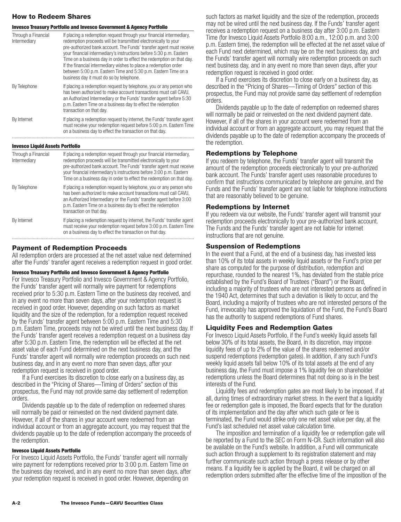## **How to Redeem Shares**

#### **Invesco Treasury Portfolio and Invesco Government & Agency Portfolio**

| Through a Financial<br>Intermediary    | If placing a redemption request through your financial intermediary.<br>redemption proceeds will be transmitted electronically to your<br>pre-authorized bank account. The Funds' transfer agent must receive<br>your financial intermediary's instructions before 5:30 p.m. Eastern<br>Time on a business day in order to effect the redemption on that day.<br>If the financial intermediary wishes to place a redemption order<br>between 5:00 p.m. Eastern Time and 5:30 p.m. Eastern Time on a<br>business day it must do so by telephone. |
|----------------------------------------|-------------------------------------------------------------------------------------------------------------------------------------------------------------------------------------------------------------------------------------------------------------------------------------------------------------------------------------------------------------------------------------------------------------------------------------------------------------------------------------------------------------------------------------------------|
| By Telephone                           | If placing a redemption request by telephone, you or any person who<br>has been authorized to make account transactions must call CAVU,<br>an Authorized Intermediary or the Funds' transfer agent before 5:30<br>p.m. Eastern Time on a business day to effect the redemption<br>transaction on that day.                                                                                                                                                                                                                                      |
| By Internet                            | If placing a redemption request by internet, the Funds' transfer agent<br>must receive your redemption request before 5:00 p.m. Eastern Time<br>on a business day to effect the transaction on that day.                                                                                                                                                                                                                                                                                                                                        |
| <b>Invesco Liquid Assets Portfolio</b> |                                                                                                                                                                                                                                                                                                                                                                                                                                                                                                                                                 |
| Through a Financial<br>Intermediary    | If placing a redemption request through your financial intermediary,<br>redemption proceeds will be transmitted electronically to your<br>pre-authorized bank account. The Funds' transfer agent must receive                                                                                                                                                                                                                                                                                                                                   |

|              | pre-authorized bank account. The Funds' transfer agent must receive<br>your financial intermediary's instructions before 3:00 p.m. Eastern<br>Time on a business day in order to effect the redemption on that day.                                                                                        |
|--------------|------------------------------------------------------------------------------------------------------------------------------------------------------------------------------------------------------------------------------------------------------------------------------------------------------------|
| By Telephone | If placing a redemption request by telephone, you or any person who<br>has been authorized to make account transactions must call CAVU.<br>an Authorized Intermediary or the Funds' transfer agent before 3:00<br>p.m. Eastern Time on a business day to effect the redemption<br>transaction on that day. |
| By Internet  | If placing a redemption request by internet, the Funds' transfer agent<br>must receive your redemption request before 3:00 p.m. Eastern Time<br>on a business day to effect the transaction on that day.                                                                                                   |

#### **Payment of Redemption Proceeds**

All redemption orders are processed at the net asset value next determined after the Funds' transfer agent receives a redemption request in good order.

#### **Invesco Treasury Portfolio and Invesco Government & Agency Portfolio**

For Invesco Treasury Portfolio and Invesco Government & Agency Portfolio, the Funds' transfer agent will normally wire payment for redemptions received prior to 5:30 p.m. Eastern Time on the business day received, and in any event no more than seven days, after your redemption request is received in good order. However, depending on such factors as market liquidity and the size of the redemption, for a redemption request received by the Funds' transfer agent between 5:00 p.m. Eastern Time and 5:30 p.m. Eastern Time, proceeds may not be wired until the next business day. If the Funds' transfer agent receives a redemption request on a business day after 5:30 p.m. Eastern Time, the redemption will be effected at the net asset value of each Fund determined on the next business day, and the Funds' transfer agent will normally wire redemption proceeds on such next business day, and in any event no more than seven days, after your redemption request is received in good order.

If a Fund exercises its discretion to close early on a business day, as described in the "Pricing of Shares—Timing of Orders" section of this prospectus, the Fund may not provide same day settlement of redemption orders.

Dividends payable up to the date of redemption on redeemed shares will normally be paid or reinvested on the next dividend payment date. However, if all of the shares in your account were redeemed from an individual account or from an aggregate account, you may request that the dividends payable up to the date of redemption accompany the proceeds of the redemption.

#### **Invesco Liquid Assets Portfolio**

For Invesco Liquid Assets Portfolio, the Funds' transfer agent will normally wire payment for redemptions received prior to 3:00 p.m. Eastern Time on the business day received, and in any event no more than seven days, after your redemption request is received in good order. However, depending on

such factors as market liquidity and the size of the redemption, proceeds may not be wired until the next business day. If the Funds' transfer agent receives a redemption request on a business day after 3:00 p.m. Eastern Time (for Invesco Liquid Assets Portfolio 8:00 a.m., 12:00 p.m. and 3:00 p.m. Eastern time), the redemption will be effected at the net asset value of each Fund next determined, which may be on the next business day, and the Funds' transfer agent will normally wire redemption proceeds on such next business day, and in any event no more than seven days, after your redemption request is received in good order.

If a Fund exercises its discretion to close early on a business day, as described in the "Pricing of Shares—Timing of Orders" section of this prospectus, the Fund may not provide same day settlement of redemption orders.

Dividends payable up to the date of redemption on redeemed shares will normally be paid or reinvested on the next dividend payment date. However, if all of the shares in your account were redeemed from an individual account or from an aggregate account, you may request that the dividends payable up to the date of redemption accompany the proceeds of the redemption.

#### **Redemptions by Telephone**

If you redeem by telephone, the Funds' transfer agent will transmit the amount of the redemption proceeds electronically to your pre-authorized bank account. The Funds' transfer agent uses reasonable procedures to confirm that instructions communicated by telephone are genuine, and the Funds and the Funds' transfer agent are not liable for telephone instructions that are reasonably believed to be genuine.

#### **Redemptions by Internet**

If you redeem via our website, the Funds' transfer agent will transmit your redemption proceeds electronically to your pre-authorized bank account. The Funds and the Funds' transfer agent are not liable for internet instructions that are not genuine.

#### **Suspension of Redemptions**

In the event that a Fund, at the end of a business day, has invested less than 10% of its total assets in weekly liquid assets or the Fund's price per share as computed for the purpose of distribution, redemption and repurchase, rounded to the nearest 1%, has deviated from the stable price established by the Fund's Board of Trustees ("Board") or the Board, including a majority of trustees who are not interested persons as defined in the 1940 Act, determines that such a deviation is likely to occur, and the Board, including a majority of trustees who are not interested persons of the Fund, irrevocably has approved the liquidation of the Fund, the Fund's Board has the authority to suspend redemptions of Fund shares.

#### **Liquidity Fees and Redemption Gates**

For Invesco Liquid Assets Portfolio, if the Fund's weekly liquid assets fall below 30% of its total assets, the Board, in its discretion, may impose liquidity fees of up to 2% of the value of the shares redeemed and/or suspend redemptions (redemption gates). In addition, if any such Fund's weekly liquid assets fall below 10% of its total assets at the end of any business day, the Fund must impose a 1% liquidity fee on shareholder redemptions unless the Board determines that not doing so is in the best interests of the Fund.

Liquidity fees and redemption gates are most likely to be imposed, if at all, during times of extraordinary market stress. In the event that a liquidity fee or redemption gate is imposed, the Board expects that for the duration of its implementation and the day after which such gate or fee is terminated, the Fund would strike only one net asset value per day, at the Fund's last scheduled net asset value calculation time.

The imposition and termination of a liquidity fee or redemption gate will be reported by a Fund to the SEC on Form N-CR. Such information will also be available on the Fund's website. In addition, a Fund will communicate such action through a supplement to its registration statement and may further communicate such action through a press release or by other means. If a liquidity fee is applied by the Board, it will be charged on all redemption orders submitted after the effective time of the imposition of the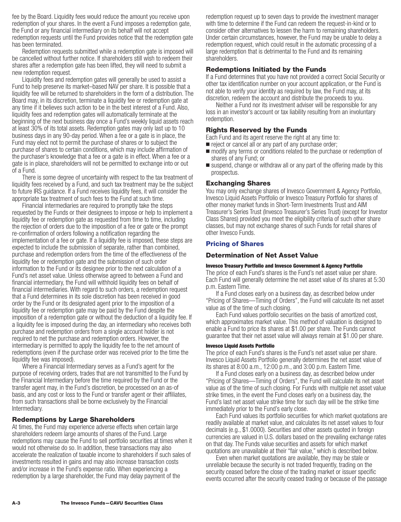<span id="page-19-0"></span>fee by the Board. Liquidity fees would reduce the amount you receive upon redemption of your shares. In the event a Fund imposes a redemption gate, the Fund or any financial intermediary on its behalf will not accept redemption requests until the Fund provides notice that the redemption gate has been terminated.

Redemption requests submitted while a redemption gate is imposed will be cancelled without further notice. If shareholders still wish to redeem their shares after a redemption gate has been lifted, they will need to submit a new redemption request.

Liquidity fees and redemption gates will generally be used to assist a Fund to help preserve its market–based NAV per share. It is possible that a liquidity fee will be returned to shareholders in the form of a distribution. The Board may, in its discretion, terminate a liquidity fee or redemption gate at any time if it believes such action to be in the best interest of a Fund. Also, liquidity fees and redemption gates will automatically terminate at the beginning of the next business day once a Fund's weekly liquid assets reach at least 30% of its total assets. Redemption gates may only last up to 10 business days in any 90-day period. When a fee or a gate is in place, the Fund may elect not to permit the purchase of shares or to subject the purchase of shares to certain conditions, which may include affirmation of the purchaser's knowledge that a fee or a gate is in effect. When a fee or a gate is in place, shareholders will not be permitted to exchange into or out of a Fund.

There is some degree of uncertainty with respect to the tax treatment of liquidity fees received by a Fund, and such tax treatment may be the subject to future IRS guidance. If a Fund receives liquidity fees, it will consider the appropriate tax treatment of such fees to the Fund at such time.

Financial intermediaries are required to promptly take the steps requested by the Funds or their designees to impose or help to implement a liquidity fee or redemption gate as requested from time to time, including the rejection of orders due to the imposition of a fee or gate or the prompt re-confirmation of orders following a notification regarding the implementation of a fee or gate. If a liquidity fee is imposed, these steps are expected to include the submission of separate, rather than combined, purchase and redemption orders from the time of the effectiveness of the liquidity fee or redemption gate and the submission of such order information to the Fund or its designee prior to the next calculation of a Fund's net asset value. Unless otherwise agreed to between a Fund and financial intermediary, the Fund will withhold liquidity fees on behalf of financial intermediaries. With regard to such orders, a redemption request that a Fund determines in its sole discretion has been received in good order by the Fund or its designated agent prior to the imposition of a liquidity fee or redemption gate may be paid by the Fund despite the imposition of a redemption gate or without the deduction of a liquidity fee. If a liquidity fee is imposed during the day, an intermediary who receives both purchase and redemption orders from a single account holder is not required to net the purchase and redemption orders. However, the intermediary is permitted to apply the liquidity fee to the net amount of redemptions (even if the purchase order was received prior to the time the liquidity fee was imposed).

Where a Financial Intermediary serves as a Fund's agent for the purpose of receiving orders, trades that are not transmitted to the Fund by the Financial Intermediary before the time required by the Fund or the transfer agent may, in the Fund's discretion, be processed on an as-of basis, and any cost or loss to the Fund or transfer agent or their affiliates, from such transactions shall be borne exclusively by the Financial Intermediary.

## **Redemptions by Large Shareholders**

At times, the Fund may experience adverse effects when certain large shareholders redeem large amounts of shares of the Fund. Large redemptions may cause the Fund to sell portfolio securities at times when it would not otherwise do so. In addition, these transactions may also accelerate the realization of taxable income to shareholders if such sales of investments resulted in gains and may also increase transaction costs and/or increase in the Fund's expense ratio. When experiencing a redemption by a large shareholder, the Fund may delay payment of the

redemption request up to seven days to provide the investment manager with time to determine if the Fund can redeem the request-in-kind or to consider other alternatives to lessen the harm to remaining shareholders. Under certain circumstances, however, the Fund may be unable to delay a redemption request, which could result in the automatic processing of a large redemption that is detrimental to the Fund and its remaining shareholders.

## **Redemptions Initiated by the Funds**

If a Fund determines that you have not provided a correct Social Security or other tax identification number on your account application, or the Fund is not able to verify your identity as required by law, the Fund may, at its discretion, redeem the account and distribute the proceeds to you.

Neither a Fund nor its investment adviser will be responsible for any loss in an investor's account or tax liability resulting from an involuntary redemption.

#### **Rights Reserved by the Funds**

Each Fund and its agent reserve the right at any time to:

- reject or cancel all or any part of any purchase order;
- $\blacksquare$  modify any terms or conditions related to the purchase or redemption of shares of any Fund; or
- suspend, change or withdraw all or any part of the offering made by this prospectus.

#### **Exchanging Shares**

You may only exchange shares of Invesco Government & Agency Portfolio, Invesco Liquid Assets Portfolio or Invesco Treasury Portfolio for shares of other money market funds in Short-Term Investments Trust and AIM Treasurer's Series Trust (Invesco Treasurer's Series Trust) (except for Investor Class Shares) provided you meet the eligibility criteria of such other share classes, but may not exchange shares of such Funds for retail shares of other Invesco Funds.

### **Pricing of Shares**

#### **Determination of Net Asset Value**

#### **Invesco Treasury Portfolio and Invesco Government & Agency Portfolio**

The price of each Fund's shares is the Fund's net asset value per share. Each Fund will generally determine the net asset value of its shares at 5:30 p.m. Eastern Time.

If a Fund closes early on a business day, as described below under "Pricing of Shares—Timing of Orders", the Fund will calculate its net asset value as of the time of such closing.

Each Fund values portfolio securities on the basis of amortized cost, which approximates market value. This method of valuation is designed to enable a Fund to price its shares at \$1.00 per share. The Funds cannot guarantee that their net asset value will always remain at \$1.00 per share.

#### **Invesco Liquid Assets Portfolio**

The price of each Fund's shares is the Fund's net asset value per share. Invesco Liquid Assets Portfolio generally determines the net asset value of its shares at 8:00 a.m., 12:00 p.m., and 3:00 p.m. Eastern Time.

If a Fund closes early on a business day, as described below under "Pricing of Shares—Timing of Orders", the Fund will calculate its net asset value as of the time of such closing. For Funds with multiple net asset value strike times, in the event the Fund closes early on a business day, the Fund's last net asset value strike time for such day will be the strike time immediately prior to the Fund's early close.

Each Fund values its portfolio securities for which market quotations are readily available at market value, and calculates its net asset values to four decimals (e.g., \$1.0000). Securities and other assets quoted in foreign currencies are valued in U.S. dollars based on the prevailing exchange rates on that day. The Funds value securities and assets for which market quotations are unavailable at their "fair value," which is described below.

Even when market quotations are available, they may be stale or unreliable because the security is not traded frequently, trading on the security ceased before the close of the trading market or issuer specific events occurred after the security ceased trading or because of the passage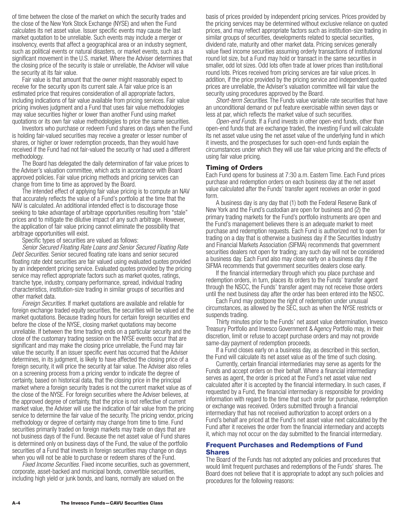<span id="page-20-0"></span>of time between the close of the market on which the security trades and the close of the New York Stock Exchange (NYSE) and when the Fund calculates its net asset value. Issuer specific events may cause the last market quotation to be unreliable. Such events may include a merger or insolvency, events that affect a geographical area or an industry segment, such as political events or natural disasters, or market events, such as a significant movement in the U.S. market. Where the Adviser determines that the closing price of the security is stale or unreliable, the Adviser will value the security at its fair value.

Fair value is that amount that the owner might reasonably expect to receive for the security upon its current sale. A fair value price is an estimated price that requires consideration of all appropriate factors, including indications of fair value available from pricing services. Fair value pricing involves judgment and a Fund that uses fair value methodologies may value securities higher or lower than another Fund using market quotations or its own fair value methodologies to price the same securities.

Investors who purchase or redeem Fund shares on days when the Fund is holding fair-valued securities may receive a greater or lesser number of shares, or higher or lower redemption proceeds, than they would have received if the Fund had not fair-valued the security or had used a different methodology.

The Board has delegated the daily determination of fair value prices to the Adviser's valuation committee, which acts in accordance with Board approved policies. Fair value pricing methods and pricing services can change from time to time as approved by the Board.

The intended effect of applying fair value pricing is to compute an NAV that accurately reflects the value of a Fund's portfolio at the time that the NAV is calculated. An additional intended effect is to discourage those seeking to take advantage of arbitrage opportunities resulting from "stale" prices and to mitigate the dilutive impact of any such arbitrage. However, the application of fair value pricing cannot eliminate the possibility that arbitrage opportunities will exist.

Specific types of securities are valued as follows:

*Senior Secured Floating Rate Loans and Senior Secured Floating Rate Debt Securities.* Senior secured floating rate loans and senior secured floating rate debt securities are fair valued using evaluated quotes provided by an independent pricing service. Evaluated quotes provided by the pricing service may reflect appropriate factors such as market quotes, ratings, tranche type, industry, company performance, spread, individual trading characteristics, institution-size trading in similar groups of securities and other market data.

*Foreign Securities.* If market quotations are available and reliable for foreign exchange traded equity securities, the securities will be valued at the market quotations. Because trading hours for certain foreign securities end before the close of the NYSE, closing market quotations may become unreliable. If between the time trading ends on a particular security and the close of the customary trading session on the NYSE events occur that are significant and may make the closing price unreliable, the Fund may fair value the security. If an issuer specific event has occurred that the Adviser determines, in its judgment, is likely to have affected the closing price of a foreign security, it will price the security at fair value. The Adviser also relies on a screening process from a pricing vendor to indicate the degree of certainty, based on historical data, that the closing price in the principal market where a foreign security trades is not the current market value as of the close of the NYSE. For foreign securities where the Adviser believes, at the approved degree of certainty, that the price is not reflective of current market value, the Adviser will use the indication of fair value from the pricing service to determine the fair value of the security. The pricing vendor, pricing methodology or degree of certainty may change from time to time. Fund securities primarily traded on foreign markets may trade on days that are not business days of the Fund. Because the net asset value of Fund shares is determined only on business days of the Fund, the value of the portfolio securities of a Fund that invests in foreign securities may change on days when you will not be able to purchase or redeem shares of the Fund.

*Fixed Income Securities.* Fixed income securities, such as government, corporate, asset-backed and municipal bonds, convertible securities, including high yield or junk bonds, and loans, normally are valued on the

basis of prices provided by independent pricing services. Prices provided by the pricing services may be determined without exclusive reliance on quoted prices, and may reflect appropriate factors such as institution-size trading in similar groups of securities, developments related to special securities, dividend rate, maturity and other market data. Pricing services generally value fixed income securities assuming orderly transactions of institutional round lot size, but a Fund may hold or transact in the same securities in smaller, odd lot sizes. Odd lots often trade at lower prices than institutional round lots. Prices received from pricing services are fair value prices. In addition, if the price provided by the pricing service and independent quoted prices are unreliable, the Adviser's valuation committee will fair value the security using procedures approved by the Board.

*Short-term Securities.* The Funds value variable rate securities that have an unconditional demand or put feature exercisable within seven days or less at par, which reflects the market value of such securities.

*Open-end Funds.* If a Fund invests in other open-end funds, other than open-end funds that are exchange traded, the investing Fund will calculate its net asset value using the net asset value of the underlying fund in which it invests, and the prospectuses for such open-end funds explain the circumstances under which they will use fair value pricing and the effects of using fair value pricing.

#### **Timing of Orders**

Each Fund opens for business at 7:30 a.m. Eastern Time. Each Fund prices purchase and redemption orders on each business day at the net asset value calculated after the Funds' transfer agent receives an order in good form.

A business day is any day that (1) both the Federal Reserve Bank of New York and the Fund's custodian are open for business and (2) the primary trading markets for the Fund's portfolio instruments are open and the Fund's management believes there is an adequate market to meet purchase and redemption requests. Each Fund is authorized not to open for trading on a day that is otherwise a business day if the Securities Industry and Financial Markets Association (SIFMA) recommends that government securities dealers not open for trading; any such day will not be considered a business day. Each Fund also may close early on a business day if the SIFMA recommends that government securities dealers close early.

If the financial intermediary through which you place purchase and redemption orders, in turn, places its orders to the Funds' transfer agent through the NSCC, the Funds' transfer agent may not receive those orders until the next business day after the order has been entered into the NSCC.

Each Fund may postpone the right of redemption under unusual circumstances, as allowed by the SEC, such as when the NYSE restricts or suspends trading.

Thirty minutes prior to the Funds' net asset value determination, Invesco Treasury Portfolio and Invesco Government & Agency Portfolio may, in their discretion, limit or refuse to accept purchase orders and may not provide same-day payment of redemption proceeds.

If a Fund closes early on a business day, as described in this section, the Fund will calculate its net asset value as of the time of such closing.

Currently, certain financial intermediaries may serve as agents for the Funds and accept orders on their behalf. Where a financial intermediary serves as agent, the order is priced at the Fund's net asset value next calculated after it is accepted by the financial intermediary. In such cases, if requested by a Fund, the financial intermediary is responsible for providing information with regard to the time that such order for purchase, redemption or exchange was received. Orders submitted through a financial intermediary that has not received authorization to accept orders on a Fund's behalf are priced at the Fund's net asset value next calculated by the Fund after it receives the order from the financial intermediary and accepts it, which may not occur on the day submitted to the financial intermediary.

#### **Frequent Purchases and Redemptions of Fund Shares**

The Board of the Funds has not adopted any policies and procedures that would limit frequent purchases and redemptions of the Funds' shares. The Board does not believe that it is appropriate to adopt any such policies and procedures for the following reasons: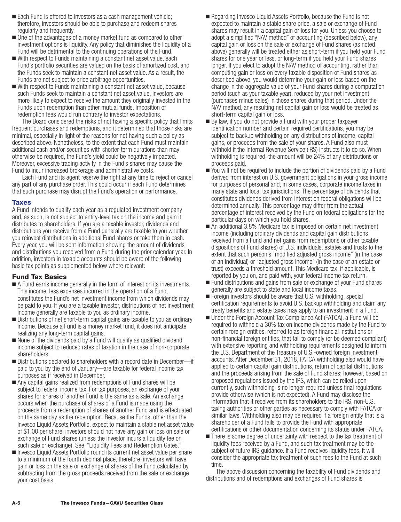- <span id="page-21-0"></span>Each Fund is offered to investors as a cash management vehicle; therefore, investors should be able to purchase and redeem shares regularly and frequently.
- One of the advantages of a money market fund as compared to other investment options is liquidity. Any policy that diminishes the liquidity of a Fund will be detrimental to the continuing operations of the Fund.
- With respect to Funds maintaining a constant net asset value, each Fund's portfolio securities are valued on the basis of amortized cost, and the Funds seek to maintain a constant net asset value. As a result, the Funds are not subject to price arbitrage opportunities.
- With respect to Funds maintaining a constant net asset value, because such Funds seek to maintain a constant net asset value, investors are more likely to expect to receive the amount they originally invested in the Funds upon redemption than other mutual funds. Imposition of redemption fees would run contrary to investor expectations.

The Board considered the risks of not having a specific policy that limits frequent purchases and redemptions, and it determined that those risks are minimal, especially in light of the reasons for not having such a policy as described above. Nonetheless, to the extent that each Fund must maintain additional cash and/or securities with shorter-term durations than may otherwise be required, the Fund's yield could be negatively impacted. Moreover, excessive trading activity in the Fund's shares may cause the Fund to incur increased brokerage and administrative costs.

Each Fund and its agent reserve the right at any time to reject or cancel any part of any purchase order. This could occur if each Fund determines that such purchase may disrupt the Fund's operation or performance.

#### **Taxes**

A Fund intends to qualify each year as a regulated investment company and, as such, is not subject to entity-level tax on the income and gain it distributes to shareholders. If you are a taxable investor, dividends and distributions you receive from a Fund generally are taxable to you whether you reinvest distributions in additional Fund shares or take them in cash. Every year, you will be sent information showing the amount of dividends and distributions you received from a Fund during the prior calendar year. In addition, investors in taxable accounts should be aware of the following basic tax points as supplemented below where relevant:

## **Fund Tax Basics**

- A Fund earns income generally in the form of interest on its investments. This income, less expenses incurred in the operation of a Fund, constitutes the Fund's net investment income from which dividends may be paid to you. If you are a taxable investor, distributions of net investment income generally are taxable to you as ordinary income.
- **Distributions of net short-term capital gains are taxable to you as ordinary** income. Because a Fund is a money market fund, it does not anticipate realizing any long-term capital gains.
- None of the dividends paid by a Fund will qualify as qualified dividend income subject to reduced rates of taxation in the case of non-corporate shareholders.
- Distributions declared to shareholders with a record date in December-if paid to you by the end of January—are taxable for federal income tax purposes as if received in December.
- Any capital gains realized from redemptions of Fund shares will be subject to federal income tax. For tax purposes, an exchange of your shares for shares of another Fund is the same as a sale. An exchange occurs when the purchase of shares of a Fund is made using the proceeds from a redemption of shares of another Fund and is effectuated on the same day as the redemption. Because the Funds, other than the Invesco Liquid Assets Portfolio, expect to maintain a stable net asset value of \$1.00 per share, investors should not have any gain or loss on sale or exchange of Fund shares (unless the investor incurs a liquidity fee on such sale or exchange). See, "Liquidity Fees and Redemption Gates."
- Invesco Liquid Assets Portfolio round its current net asset value per share to a minimum of the fourth decimal place, therefore, investors will have gain or loss on the sale or exchange of shares of the Fund calculated by subtracting from the gross proceeds received from the sale or exchange your cost basis.
- Regarding Invesco Liquid Assets Portfolio, because the Fund is not expected to maintain a stable share price, a sale or exchange of Fund shares may result in a capital gain or loss for you. Unless you choose to adopt a simplified "NAV method" of accounting (described below), any capital gain or loss on the sale or exchange of Fund shares (as noted above) generally will be treated either as short-term if you held your Fund shares for one year or less, or long-term if you held your Fund shares longer. If you elect to adopt the NAV method of accounting, rather than computing gain or loss on every taxable disposition of Fund shares as described above, you would determine your gain or loss based on the change in the aggregate value of your Fund shares during a computation period (such as your taxable year), reduced by your net investment (purchases minus sales) in those shares during that period. Under the NAV method, any resulting net capital gain or loss would be treated as short-term capital gain or loss.
- By law, if you do not provide a Fund with your proper taxpayer identification number and certain required certifications, you may be subject to backup withholding on any distributions of income, capital gains, or proceeds from the sale of your shares. A Fund also must withhold if the Internal Revenue Service (IRS) instructs it to do so. When withholding is required, the amount will be 24% of any distributions or proceeds paid.
- You will not be required to include the portion of dividends paid by a Fund derived from interest on U.S. government obligations in your gross income for purposes of personal and, in some cases, corporate income taxes in many state and local tax jurisdictions. The percentage of dividends that constitutes dividends derived from interest on federal obligations will be determined annually. This percentage may differ from the actual percentage of interest received by the Fund on federal obligations for the particular days on which you hold shares.
- An additional 3.8% Medicare tax is imposed on certain net investment income (including ordinary dividends and capital gain distributions received from a Fund and net gains from redemptions or other taxable dispositions of Fund shares) of U.S. individuals, estates and trusts to the extent that such person's "modified adjusted gross income" (in the case of an individual) or "adjusted gross income" (in the case of an estate or trust) exceeds a threshold amount. This Medicare tax, if applicable, is reported by you on, and paid with, your federal income tax return.
- Fund distributions and gains from sale or exchange of your Fund shares generally are subject to state and local income taxes.
- Foreign investors should be aware that U.S. withholding, special certification requirements to avoid U.S. backup withholding and claim any treaty benefits and estate taxes may apply to an investment in a Fund.
- Under the Foreign Account Tax Compliance Act (FATCA), a Fund will be required to withhold a 30% tax on income dividends made by the Fund to certain foreign entities, referred to as foreign financial institutions or non-financial foreign entities, that fail to comply (or be deemed compliant) with extensive reporting and withholding requirements designed to inform the U.S. Department of the Treasury of U.S.-owned foreign investment accounts. After December 31, 2018, FATCA withholding also would have applied to certain capital gain distributions, return of capital distributions and the proceeds arising from the sale of Fund shares; however, based on proposed regulations issued by the IRS, which can be relied upon currently, such withholding is no longer required unless final regulations provide otherwise (which is not expected). A Fund may disclose the information that it receives from its shareholders to the IRS, non-U.S. taxing authorities or other parties as necessary to comply with FATCA or similar laws. Withholding also may be required if a foreign entity that is a shareholder of a Fund fails to provide the Fund with appropriate certifications or other documentation concerning its status under FATCA.
- There is some degree of uncertainty with respect to the tax treatment of liquidity fees received by a Fund, and such tax treatment may be the subject of future IRS guidance. If a Fund receives liquidity fees, it will consider the appropriate tax treatment of such fees to the Fund at such time.

The above discussion concerning the taxability of Fund dividends and distributions and of redemptions and exchanges of Fund shares is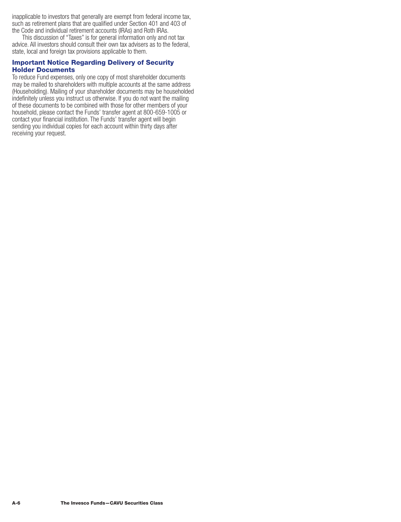<span id="page-22-0"></span>inapplicable to investors that generally are exempt from federal income tax, such as retirement plans that are qualified under Section 401 and 403 of the Code and individual retirement accounts (IRAs) and Roth IRAs.

This discussion of "Taxes" is for general information only and not tax advice. All investors should consult their own tax advisers as to the federal, state, local and foreign tax provisions applicable to them.

## **Important Notice Regarding Delivery of Security Holder Documents**

To reduce Fund expenses, only one copy of most shareholder documents may be mailed to shareholders with multiple accounts at the same address (Householding). Mailing of your shareholder documents may be householded indefinitely unless you instruct us otherwise. If you do not want the mailing of these documents to be combined with those for other members of your household, please contact the Funds' transfer agent at 800-659-1005 or contact your financial institution. The Funds' transfer agent will begin sending you individual copies for each account within thirty days after receiving your request.